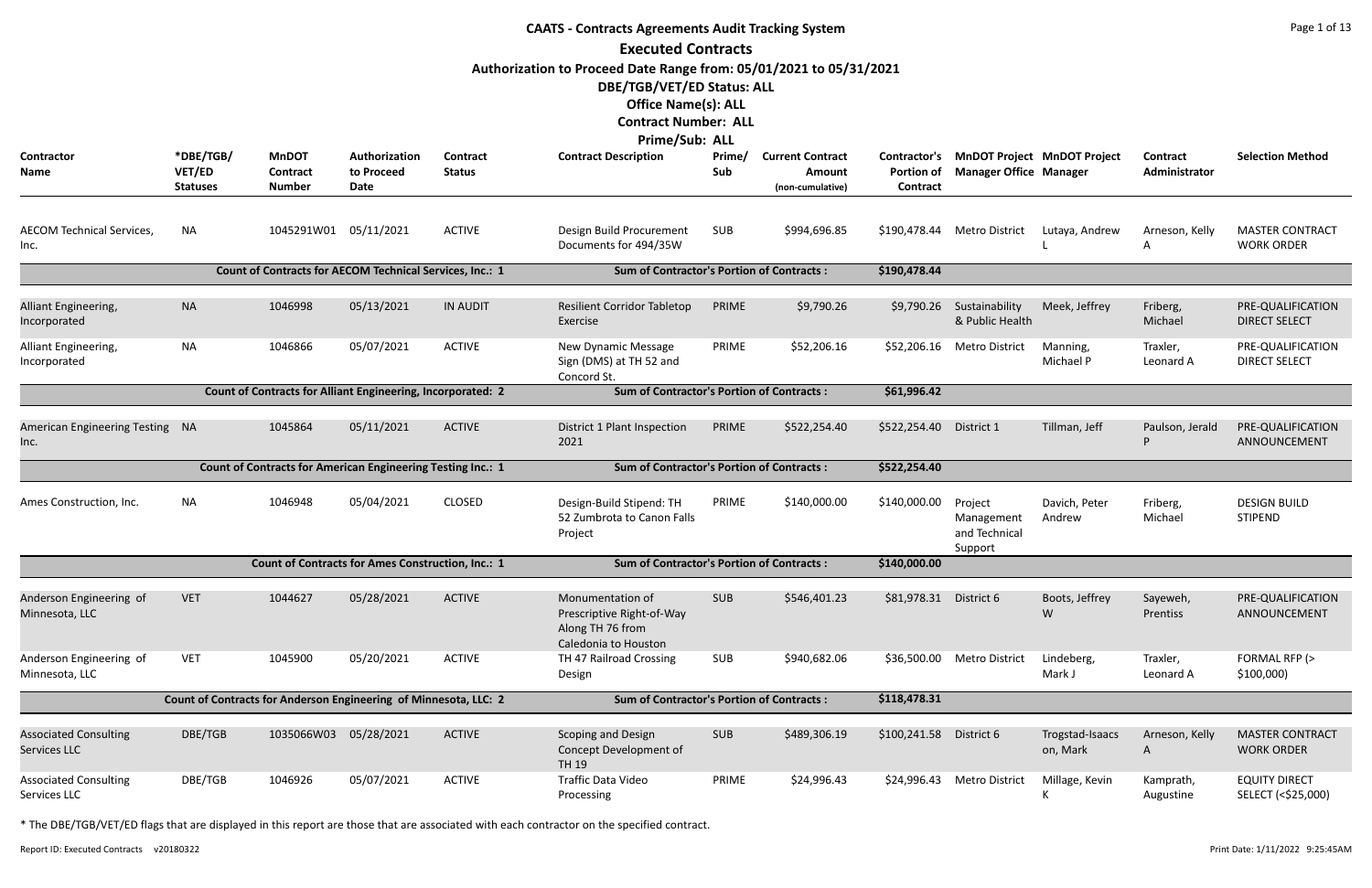| <b>CAATS - Contracts Agreements Audit Tracking System</b> |                                                                  |                                                                    |                                     |                                                  |                                                                                                                                                               |               |                                                       |                                                      |                                                                     |                             |                                  |                                             |
|-----------------------------------------------------------|------------------------------------------------------------------|--------------------------------------------------------------------|-------------------------------------|--------------------------------------------------|---------------------------------------------------------------------------------------------------------------------------------------------------------------|---------------|-------------------------------------------------------|------------------------------------------------------|---------------------------------------------------------------------|-----------------------------|----------------------------------|---------------------------------------------|
|                                                           |                                                                  |                                                                    |                                     |                                                  | <b>Executed Contracts</b>                                                                                                                                     |               |                                                       |                                                      |                                                                     |                             |                                  |                                             |
|                                                           |                                                                  |                                                                    |                                     |                                                  | Authorization to Proceed Date Range from: 05/01/2021 to 05/31/2021<br>DBE/TGB/VET/ED Status: ALL<br><b>Office Name(s): ALL</b><br><b>Contract Number: ALL</b> |               |                                                       |                                                      |                                                                     |                             |                                  |                                             |
|                                                           |                                                                  |                                                                    |                                     |                                                  | <b>Prime/Sub: ALL</b>                                                                                                                                         |               |                                                       |                                                      |                                                                     |                             |                                  |                                             |
| <b>Contractor</b><br>Name                                 | *DBE/TGB/<br>VET/ED<br><b>Statuses</b>                           | <b>MnDOT</b><br>Contract<br><b>Number</b>                          | Authorization<br>to Proceed<br>Date | Contract<br><b>Status</b>                        | <b>Contract Description</b>                                                                                                                                   | Prime/<br>Sub | <b>Current Contract</b><br>Amount<br>(non-cumulative) | <b>Contractor's</b><br><b>Portion of</b><br>Contract | <b>MnDOT Project MnDOT Project</b><br><b>Manager Office Manager</b> |                             | <b>Contract</b><br>Administrator | <b>Selection Method</b>                     |
| <b>AECOM Technical Services,</b><br>Inc.                  | <b>NA</b>                                                        | 1045291W01 05/11/2021                                              |                                     | <b>ACTIVE</b>                                    | Design Build Procurement<br>Documents for 494/35W                                                                                                             | SUB           | \$994,696.85                                          | \$190,478.44                                         | Metro District                                                      | Lutaya, Andrew              | Arneson, Kelly<br>Α              | <b>MASTER CONTRACT</b><br><b>WORK ORDER</b> |
|                                                           |                                                                  | Count of Contracts for AECOM Technical Services, Inc.: 1           |                                     |                                                  | <b>Sum of Contractor's Portion of Contracts:</b>                                                                                                              |               |                                                       | \$190,478.44                                         |                                                                     |                             |                                  |                                             |
| Alliant Engineering,<br>Incorporated                      | <b>NA</b>                                                        | 1046998                                                            | 05/13/2021                          | <b>IN AUDIT</b>                                  | <b>Resilient Corridor Tabletop</b><br>Exercise                                                                                                                | PRIME         | \$9,790.26                                            | \$9,790.26                                           | Sustainability<br>& Public Health                                   | Meek, Jeffrey               | Friberg,<br>Michael              | PRE-QUALIFICATION<br><b>DIRECT SELECT</b>   |
| Alliant Engineering,<br>Incorporated                      | <b>NA</b>                                                        | 1046866                                                            | 05/07/2021                          | <b>ACTIVE</b>                                    | New Dynamic Message<br>Sign (DMS) at TH 52 and<br>Concord St.                                                                                                 | PRIME         | \$52,206.16                                           | \$52,206.16                                          | <b>Metro District</b>                                               | Manning,<br>Michael P       | Traxler,<br>Leonard A            | PRE-QUALIFICATION<br><b>DIRECT SELECT</b>   |
|                                                           |                                                                  | <b>Count of Contracts for Alliant Engineering, Incorporated: 2</b> |                                     |                                                  | <b>Sum of Contractor's Portion of Contracts:</b>                                                                                                              |               |                                                       | \$61,996.42                                          |                                                                     |                             |                                  |                                             |
| <b>American Engineering Testing</b><br>Inc.               | - NA                                                             | 1045864                                                            | 05/11/2021                          | <b>ACTIVE</b>                                    | District 1 Plant Inspection<br>2021                                                                                                                           | PRIME         | \$522,254.40                                          | \$522,254.40                                         | District 1                                                          | Tillman, Jeff               | Paulson, Jerald                  | PRE-QUALIFICATION<br>ANNOUNCEMENT           |
|                                                           |                                                                  | <b>Count of Contracts for American Engineering Testing Inc.: 1</b> |                                     |                                                  | <b>Sum of Contractor's Portion of Contracts:</b>                                                                                                              |               |                                                       | \$522,254.40                                         |                                                                     |                             |                                  |                                             |
| Ames Construction, Inc.                                   | ΝA                                                               | 1046948                                                            | 05/04/2021                          | <b>CLOSED</b>                                    | Design-Build Stipend: TH<br>52 Zumbrota to Canon Falls<br>Project                                                                                             | PRIME         | \$140,000.00                                          | \$140,000.00                                         | Project<br>Management<br>and Technical<br>Support                   | Davich, Peter<br>Andrew     | Friberg,<br>Michael              | <b>DESIGN BUILD</b><br><b>STIPEND</b>       |
|                                                           |                                                                  | <b>Count of Contracts for Ames Construction, Inc.: 1</b>           |                                     |                                                  | <b>Sum of Contractor's Portion of Contracts:</b>                                                                                                              |               |                                                       | \$140,000.00                                         |                                                                     |                             |                                  |                                             |
| Anderson Engineering of<br>Minnesota, LLC                 | <b>VET</b>                                                       | 1044627                                                            | 05/28/2021                          | <b>ACTIVE</b>                                    | Monumentation of<br>Prescriptive Right-of-Way<br>Along TH 76 from<br>Caledonia to Houston                                                                     | <b>SUB</b>    | \$546,401.23                                          | \$81,978.31 District 6                               |                                                                     | Boots, Jeffrey<br>W         | Sayeweh,<br>Prentiss             | PRE-QUALIFICATION<br>ANNOUNCEMENT           |
| Anderson Engineering of<br>Minnesota, LLC                 | <b>VET</b>                                                       | 1045900                                                            | 05/20/2021                          | <b>ACTIVE</b>                                    | TH 47 Railroad Crossing<br>Design                                                                                                                             | <b>SUB</b>    | \$940,682.06                                          | \$36,500.00                                          | <b>Metro District</b>                                               | Lindeberg,<br>Mark J        | Traxler,<br>Leonard A            | FORMAL RFP (><br>\$100,000                  |
|                                                           | Count of Contracts for Anderson Engineering of Minnesota, LLC: 2 |                                                                    |                                     | <b>Sum of Contractor's Portion of Contracts:</b> |                                                                                                                                                               |               | \$118,478.31                                          |                                                      |                                                                     |                             |                                  |                                             |
| <b>Associated Consulting</b><br>Services LLC              | DBE/TGB                                                          | 1035066W03 05/28/2021                                              |                                     | <b>ACTIVE</b>                                    | Scoping and Design<br>Concept Development of<br><b>TH 19</b>                                                                                                  | <b>SUB</b>    | \$489,306.19                                          | \$100,241.58 District 6                              |                                                                     | Trogstad-Isaacs<br>on, Mark | Arneson, Kelly<br>A              | <b>MASTER CONTRACT</b><br><b>WORK ORDER</b> |
| <b>Associated Consulting</b><br>Services LLC              | DBE/TGB                                                          | 1046926                                                            | 05/07/2021                          | <b>ACTIVE</b>                                    | Traffic Data Video<br>Processing                                                                                                                              | PRIME         | \$24,996.43                                           | \$24,996.43                                          | <b>Metro District</b>                                               | Millage, Kevin              | Kamprath,<br>Augustine           | <b>EQUITY DIRECT</b><br>SELECT (<\$25,000)  |

Report ID: Executed Contracts v20180322 9:25:45AM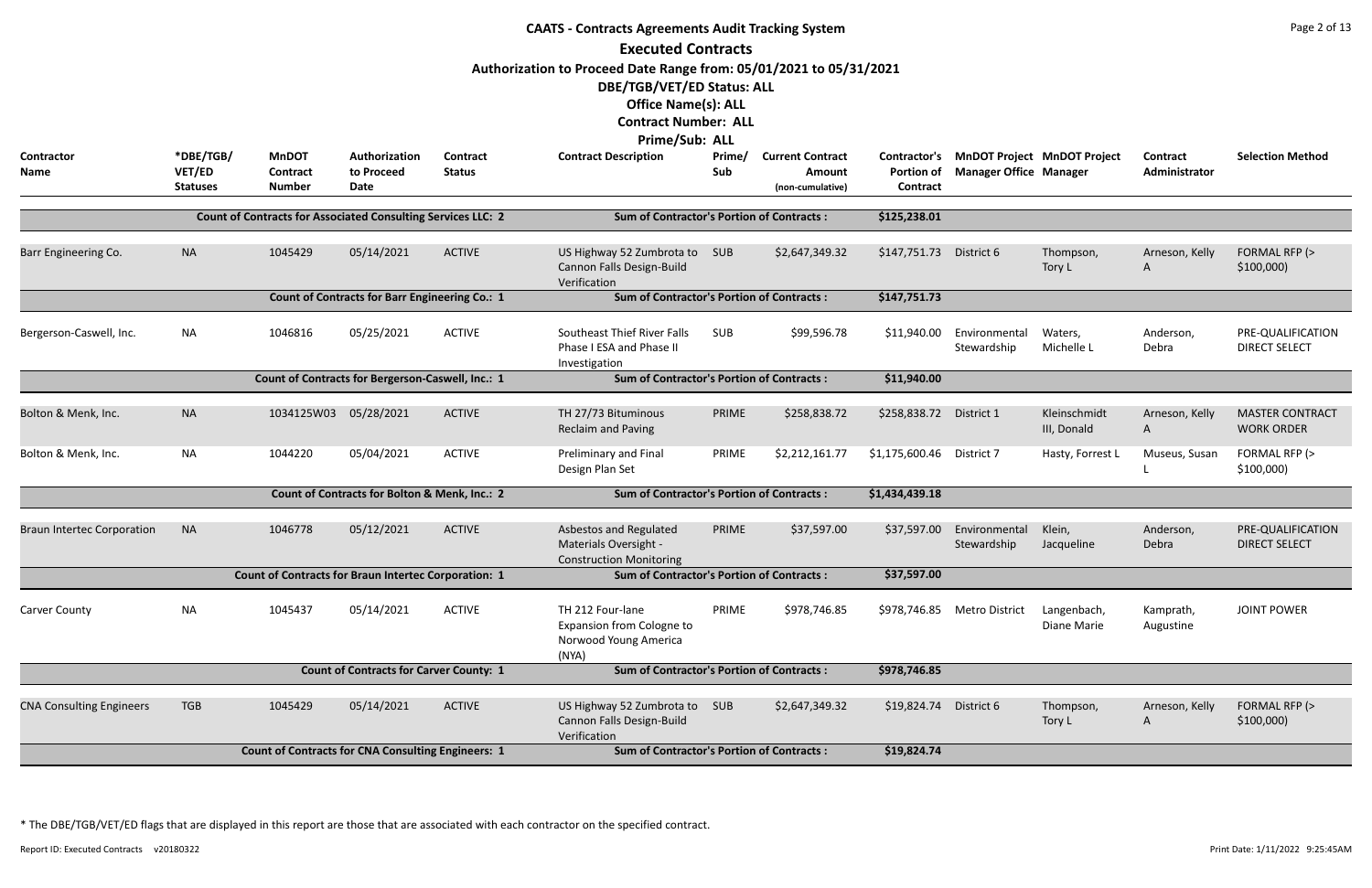| <b>CAATS - Contracts Agreements Audit Tracking System</b> |                                        |                                                                     |                                                       |                           |                                                                                        |               |                                                       |                                                             |                                                                     |                             |                           |                                             |  |
|-----------------------------------------------------------|----------------------------------------|---------------------------------------------------------------------|-------------------------------------------------------|---------------------------|----------------------------------------------------------------------------------------|---------------|-------------------------------------------------------|-------------------------------------------------------------|---------------------------------------------------------------------|-----------------------------|---------------------------|---------------------------------------------|--|
|                                                           |                                        |                                                                     |                                                       |                           | <b>Executed Contracts</b>                                                              |               |                                                       |                                                             |                                                                     |                             |                           |                                             |  |
|                                                           |                                        |                                                                     |                                                       |                           | Authorization to Proceed Date Range from: 05/01/2021 to 05/31/2021                     |               |                                                       |                                                             |                                                                     |                             |                           |                                             |  |
|                                                           |                                        |                                                                     |                                                       |                           | DBE/TGB/VET/ED Status: ALL                                                             |               |                                                       |                                                             |                                                                     |                             |                           |                                             |  |
|                                                           |                                        |                                                                     |                                                       |                           | <b>Office Name(s): ALL</b>                                                             |               |                                                       |                                                             |                                                                     |                             |                           |                                             |  |
|                                                           |                                        |                                                                     |                                                       |                           | <b>Contract Number: ALL</b>                                                            |               |                                                       |                                                             |                                                                     |                             |                           |                                             |  |
|                                                           |                                        |                                                                     |                                                       |                           | <b>Prime/Sub: ALL</b>                                                                  |               |                                                       |                                                             |                                                                     |                             |                           |                                             |  |
| Contractor<br>Name                                        | *DBE/TGB/<br>VET/ED<br><b>Statuses</b> | <b>MnDOT</b><br><b>Contract</b><br><b>Number</b>                    | Authorization<br>to Proceed<br><b>Date</b>            | Contract<br><b>Status</b> | <b>Contract Description</b>                                                            | Prime/<br>Sub | <b>Current Contract</b><br>Amount<br>(non-cumulative) | <b>Contractor's</b><br><b>Portion of</b><br><b>Contract</b> | <b>MnDOT Project MnDOT Project</b><br><b>Manager Office Manager</b> |                             | Contract<br>Administrator | <b>Selection Method</b>                     |  |
|                                                           |                                        | <b>Count of Contracts for Associated Consulting Services LLC: 2</b> |                                                       |                           | <b>Sum of Contractor's Portion of Contracts:</b>                                       |               |                                                       | \$125,238.01                                                |                                                                     |                             |                           |                                             |  |
|                                                           |                                        |                                                                     |                                                       |                           |                                                                                        |               |                                                       |                                                             |                                                                     |                             |                           |                                             |  |
| Barr Engineering Co.                                      | <b>NA</b>                              | 1045429                                                             | 05/14/2021                                            | <b>ACTIVE</b>             | US Highway 52 Zumbrota to<br>Cannon Falls Design-Build<br>Verification                 | SUB           | \$2,647,349.32                                        | \$147,751.73                                                | District 6                                                          | Thompson,<br>Tory L         | Arneson, Kelly<br>A       | FORMAL RFP (><br>\$100,000                  |  |
|                                                           |                                        |                                                                     | <b>Count of Contracts for Barr Engineering Co.: 1</b> |                           | <b>Sum of Contractor's Portion of Contracts:</b>                                       |               |                                                       | \$147,751.73                                                |                                                                     |                             |                           |                                             |  |
| Bergerson-Caswell, Inc.                                   | <b>NA</b>                              | 1046816                                                             | 05/25/2021                                            | <b>ACTIVE</b>             | <b>Southeast Thief River Falls</b><br>Phase I ESA and Phase II<br>Investigation        | <b>SUB</b>    | \$99,596.78                                           | \$11,940.00                                                 | Environmental<br>Stewardship                                        | Waters,<br>Michelle L       | Anderson,<br>Debra        | PRE-QUALIFICATION<br><b>DIRECT SELECT</b>   |  |
|                                                           |                                        |                                                                     | Count of Contracts for Bergerson-Caswell, Inc.: 1     |                           | <b>Sum of Contractor's Portion of Contracts:</b>                                       |               |                                                       | \$11,940.00                                                 |                                                                     |                             |                           |                                             |  |
|                                                           |                                        |                                                                     |                                                       |                           |                                                                                        |               |                                                       |                                                             |                                                                     |                             |                           |                                             |  |
| Bolton & Menk, Inc.                                       | <b>NA</b>                              | 1034125W03                                                          | 05/28/2021                                            | <b>ACTIVE</b>             | TH 27/73 Bituminous<br><b>Reclaim and Paving</b>                                       | PRIME         | \$258,838.72                                          | \$258,838.72                                                | District 1                                                          | Kleinschmidt<br>III, Donald | Arneson, Kelly<br>A       | <b>MASTER CONTRACT</b><br><b>WORK ORDER</b> |  |
| Bolton & Menk, Inc.                                       | <b>NA</b>                              | 1044220                                                             | 05/04/2021                                            | <b>ACTIVE</b>             | Preliminary and Final<br>Design Plan Set                                               | PRIME         | \$2,212,161.77                                        | \$1,175,600.46                                              | District 7                                                          | Hasty, Forrest L            | Museus, Susan             | FORMAL RFP (><br>\$100,000                  |  |
|                                                           |                                        |                                                                     | Count of Contracts for Bolton & Menk, Inc.: 2         |                           | <b>Sum of Contractor's Portion of Contracts:</b>                                       |               |                                                       | \$1,434,439.18                                              |                                                                     |                             |                           |                                             |  |
| <b>Braun Intertec Corporation</b>                         | <b>NA</b>                              | 1046778                                                             | 05/12/2021                                            | <b>ACTIVE</b>             | Asbestos and Regulated<br>Materials Oversight -<br><b>Construction Monitoring</b>      | PRIME         | \$37,597.00                                           | \$37,597.00                                                 | Environmental<br>Stewardship                                        | Klein,<br>Jacqueline        | Anderson,<br>Debra        | PRE-QUALIFICATION<br><b>DIRECT SELECT</b>   |  |
|                                                           |                                        | <b>Count of Contracts for Braun Intertec Corporation: 1</b>         |                                                       |                           | <b>Sum of Contractor's Portion of Contracts:</b>                                       |               |                                                       | \$37,597.00                                                 |                                                                     |                             |                           |                                             |  |
| <b>Carver County</b>                                      | <b>NA</b>                              | 1045437                                                             | 05/14/2021                                            | <b>ACTIVE</b>             | TH 212 Four-lane<br><b>Expansion from Cologne to</b><br>Norwood Young America<br>(NYA) | PRIME         | \$978,746.85                                          |                                                             | \$978,746.85 Metro District                                         | Langenbach,<br>Diane Marie  | Kamprath,<br>Augustine    | <b>JOINT POWER</b>                          |  |
|                                                           |                                        |                                                                     | <b>Count of Contracts for Carver County: 1</b>        |                           | <b>Sum of Contractor's Portion of Contracts:</b>                                       |               |                                                       | \$978,746.85                                                |                                                                     |                             |                           |                                             |  |
|                                                           |                                        |                                                                     |                                                       |                           |                                                                                        |               |                                                       |                                                             |                                                                     |                             |                           |                                             |  |
| <b>CNA Consulting Engineers</b>                           | <b>TGB</b>                             | 1045429                                                             | 05/14/2021                                            | <b>ACTIVE</b>             | US Highway 52 Zumbrota to<br>Cannon Falls Design-Build<br>Verification                 | <b>SUB</b>    | \$2,647,349.32                                        | \$19,824.74 District 6                                      |                                                                     | Thompson,<br>Tory L         | Arneson, Kelly<br>A       | FORMAL RFP (><br>\$100,000                  |  |
|                                                           |                                        | <b>Count of Contracts for CNA Consulting Engineers: 1</b>           |                                                       |                           | <b>Sum of Contractor's Portion of Contracts:</b>                                       |               |                                                       | \$19,824.74                                                 |                                                                     |                             |                           |                                             |  |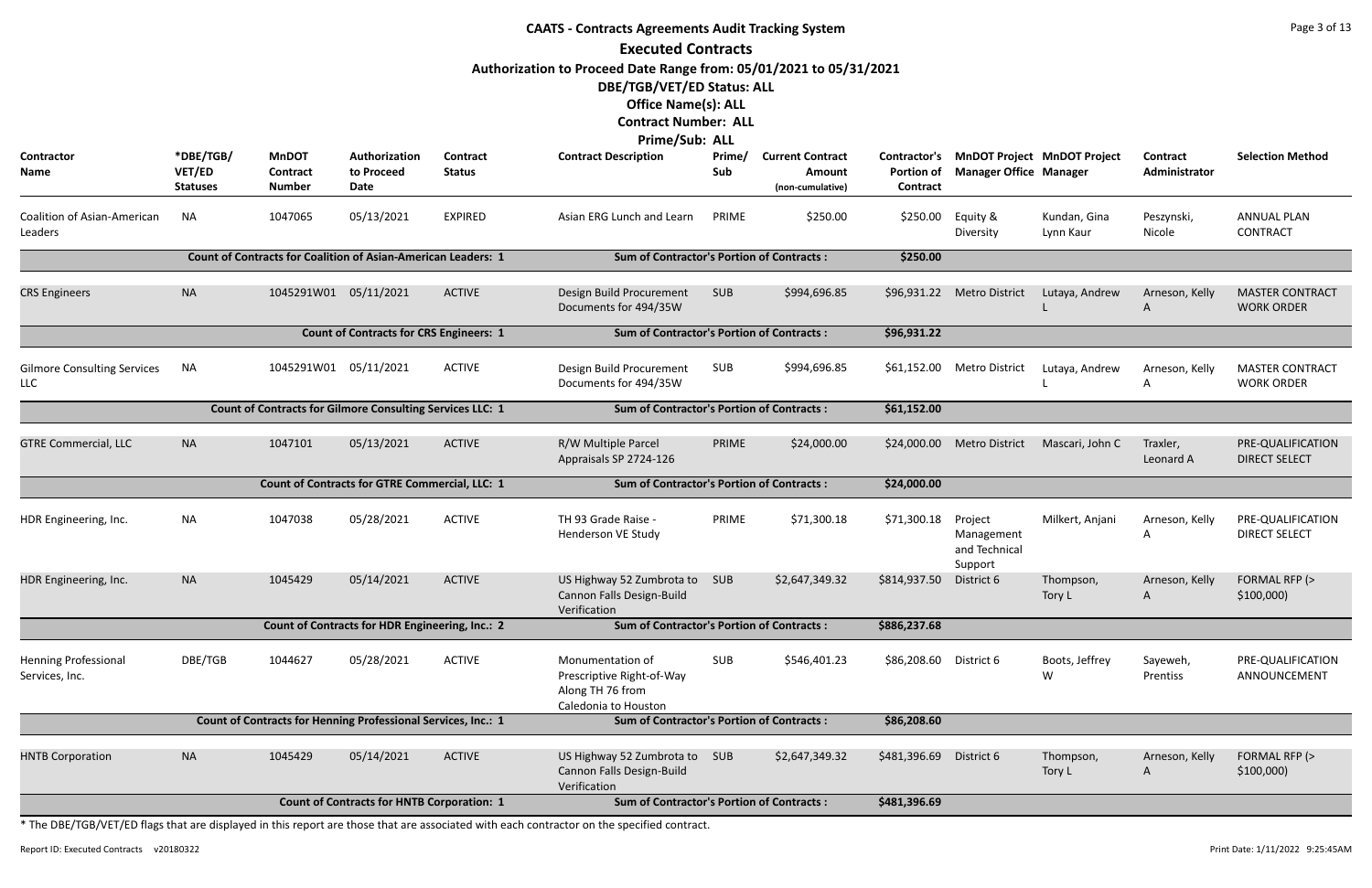| <b>CAATS - Contracts Agreements Audit Tracking System</b> |                                        |                                                  |                                                                      |                           |                                                                                                                                |               |                                                       |                                                      |                                                                     |                           |                                  |                                             |
|-----------------------------------------------------------|----------------------------------------|--------------------------------------------------|----------------------------------------------------------------------|---------------------------|--------------------------------------------------------------------------------------------------------------------------------|---------------|-------------------------------------------------------|------------------------------------------------------|---------------------------------------------------------------------|---------------------------|----------------------------------|---------------------------------------------|
|                                                           |                                        |                                                  |                                                                      |                           | <b>Executed Contracts</b>                                                                                                      |               |                                                       |                                                      |                                                                     |                           |                                  |                                             |
|                                                           |                                        |                                                  |                                                                      |                           | Authorization to Proceed Date Range from: 05/01/2021 to 05/31/2021<br>DBE/TGB/VET/ED Status: ALL<br><b>Office Name(s): ALL</b> |               |                                                       |                                                      |                                                                     |                           |                                  |                                             |
|                                                           |                                        |                                                  |                                                                      |                           | <b>Contract Number: ALL</b>                                                                                                    |               |                                                       |                                                      |                                                                     |                           |                                  |                                             |
|                                                           |                                        |                                                  |                                                                      |                           | Prime/Sub: ALL                                                                                                                 |               |                                                       |                                                      |                                                                     |                           |                                  |                                             |
| Contractor<br>Name                                        | *DBE/TGB/<br>VET/ED<br><b>Statuses</b> | <b>MnDOT</b><br><b>Contract</b><br><b>Number</b> | Authorization<br>to Proceed<br>Date                                  | Contract<br><b>Status</b> | <b>Contract Description</b>                                                                                                    | Prime/<br>Sub | <b>Current Contract</b><br>Amount<br>(non-cumulative) | <b>Contractor's</b><br><b>Portion of</b><br>Contract | <b>MnDOT Project MnDOT Project</b><br><b>Manager Office Manager</b> |                           | <b>Contract</b><br>Administrator | <b>Selection Method</b>                     |
| Coalition of Asian-American<br>Leaders                    | <b>NA</b>                              | 1047065                                          | 05/13/2021                                                           | <b>EXPIRED</b>            | Asian ERG Lunch and Learn                                                                                                      | PRIME         | \$250.00                                              | \$250.00                                             | Equity &<br>Diversity                                               | Kundan, Gina<br>Lynn Kaur | Peszynski,<br>Nicole             | <b>ANNUAL PLAN</b><br><b>CONTRACT</b>       |
|                                                           |                                        |                                                  | <b>Count of Contracts for Coalition of Asian-American Leaders: 1</b> |                           | <b>Sum of Contractor's Portion of Contracts:</b>                                                                               |               |                                                       | \$250.00                                             |                                                                     |                           |                                  |                                             |
| <b>CRS Engineers</b>                                      | <b>NA</b>                              | 1045291W01 05/11/2021                            |                                                                      | <b>ACTIVE</b>             | Design Build Procurement<br>Documents for 494/35W                                                                              | <b>SUB</b>    | \$994,696.85                                          | \$96,931.22                                          | <b>Metro District</b>                                               | Lutaya, Andrew            | Arneson, Kelly<br>A              | <b>MASTER CONTRACT</b><br><b>WORK ORDER</b> |
|                                                           |                                        |                                                  | <b>Count of Contracts for CRS Engineers: 1</b>                       |                           | <b>Sum of Contractor's Portion of Contracts:</b>                                                                               |               |                                                       | \$96,931.22                                          |                                                                     |                           |                                  |                                             |
| <b>Gilmore Consulting Services</b><br>LLC                 | ΝA                                     | 1045291W01 05/11/2021                            |                                                                      | <b>ACTIVE</b>             | Design Build Procurement<br>Documents for 494/35W                                                                              | SUB           | \$994,696.85                                          |                                                      | \$61,152.00 Metro District                                          | Lutaya, Andrew            | Arneson, Kelly<br>A              | <b>MASTER CONTRACT</b><br><b>WORK ORDER</b> |
|                                                           |                                        |                                                  | <b>Count of Contracts for Gilmore Consulting Services LLC: 1</b>     |                           | <b>Sum of Contractor's Portion of Contracts:</b>                                                                               |               |                                                       | \$61,152.00                                          |                                                                     |                           |                                  |                                             |
| <b>GTRE Commercial, LLC</b>                               | <b>NA</b>                              | 1047101                                          | 05/13/2021                                                           | <b>ACTIVE</b>             | R/W Multiple Parcel<br>Appraisals SP 2724-126                                                                                  | PRIME         | \$24,000.00                                           | \$24,000.00                                          | <b>Metro District</b>                                               | Mascari, John C           | Traxler,<br>Leonard A            | PRE-QUALIFICATION<br><b>DIRECT SELECT</b>   |
|                                                           |                                        |                                                  | Count of Contracts for GTRE Commercial, LLC: 1                       |                           | <b>Sum of Contractor's Portion of Contracts:</b>                                                                               |               |                                                       | \$24,000.00                                          |                                                                     |                           |                                  |                                             |
| HDR Engineering, Inc.                                     | <b>NA</b>                              | 1047038                                          | 05/28/2021                                                           | <b>ACTIVE</b>             | TH 93 Grade Raise -<br>Henderson VE Study                                                                                      | PRIME         | \$71,300.18                                           | \$71,300.18 Project                                  | Management<br>and Technical<br>Support                              | Milkert, Anjani           | Arneson, Kelly<br>Α              | PRE-QUALIFICATION<br><b>DIRECT SELECT</b>   |
| HDR Engineering, Inc.                                     | <b>NA</b>                              | 1045429                                          | 05/14/2021                                                           | <b>ACTIVE</b>             | US Highway 52 Zumbrota to<br>Cannon Falls Design-Build<br>Verification                                                         | SUB           | \$2,647,349.32                                        | \$814,937.50                                         | District 6                                                          | Thompson,<br>Tory L       | Arneson, Kelly<br>A              | FORMAL RFP (><br>\$100,000                  |
|                                                           |                                        |                                                  | <b>Count of Contracts for HDR Engineering, Inc.: 2</b>               |                           | <b>Sum of Contractor's Portion of Contracts:</b>                                                                               |               |                                                       | \$886,237.68                                         |                                                                     |                           |                                  |                                             |
| <b>Henning Professional</b><br>Services, Inc.             | DBE/TGB                                | 1044627                                          | 05/28/2021                                                           | <b>ACTIVE</b>             | Monumentation of<br>Prescriptive Right-of-Way<br>Along TH 76 from<br>Caledonia to Houston                                      | <b>SUB</b>    | \$546,401.23                                          | \$86,208.60 District 6                               |                                                                     | Boots, Jeffrey<br>W       | Sayeweh,<br>Prentiss             | PRE-QUALIFICATION<br>ANNOUNCEMENT           |
|                                                           |                                        |                                                  | Count of Contracts for Henning Professional Services, Inc.: 1        |                           | <b>Sum of Contractor's Portion of Contracts:</b>                                                                               |               |                                                       | \$86,208.60                                          |                                                                     |                           |                                  |                                             |
| <b>HNTB Corporation</b>                                   | <b>NA</b>                              | 1045429                                          | 05/14/2021                                                           | <b>ACTIVE</b>             | US Highway 52 Zumbrota to SUB<br>Cannon Falls Design-Build<br>Verification                                                     |               | \$2,647,349.32                                        | \$481,396.69                                         | District 6                                                          | Thompson,<br>Tory L       | Arneson, Kelly<br>A              | FORMAL RFP (><br>\$100,000                  |
|                                                           |                                        |                                                  | <b>Count of Contracts for HNTB Corporation: 1</b>                    |                           | <b>Sum of Contractor's Portion of Contracts:</b>                                                                               |               |                                                       | \$481,396.69                                         |                                                                     |                           |                                  |                                             |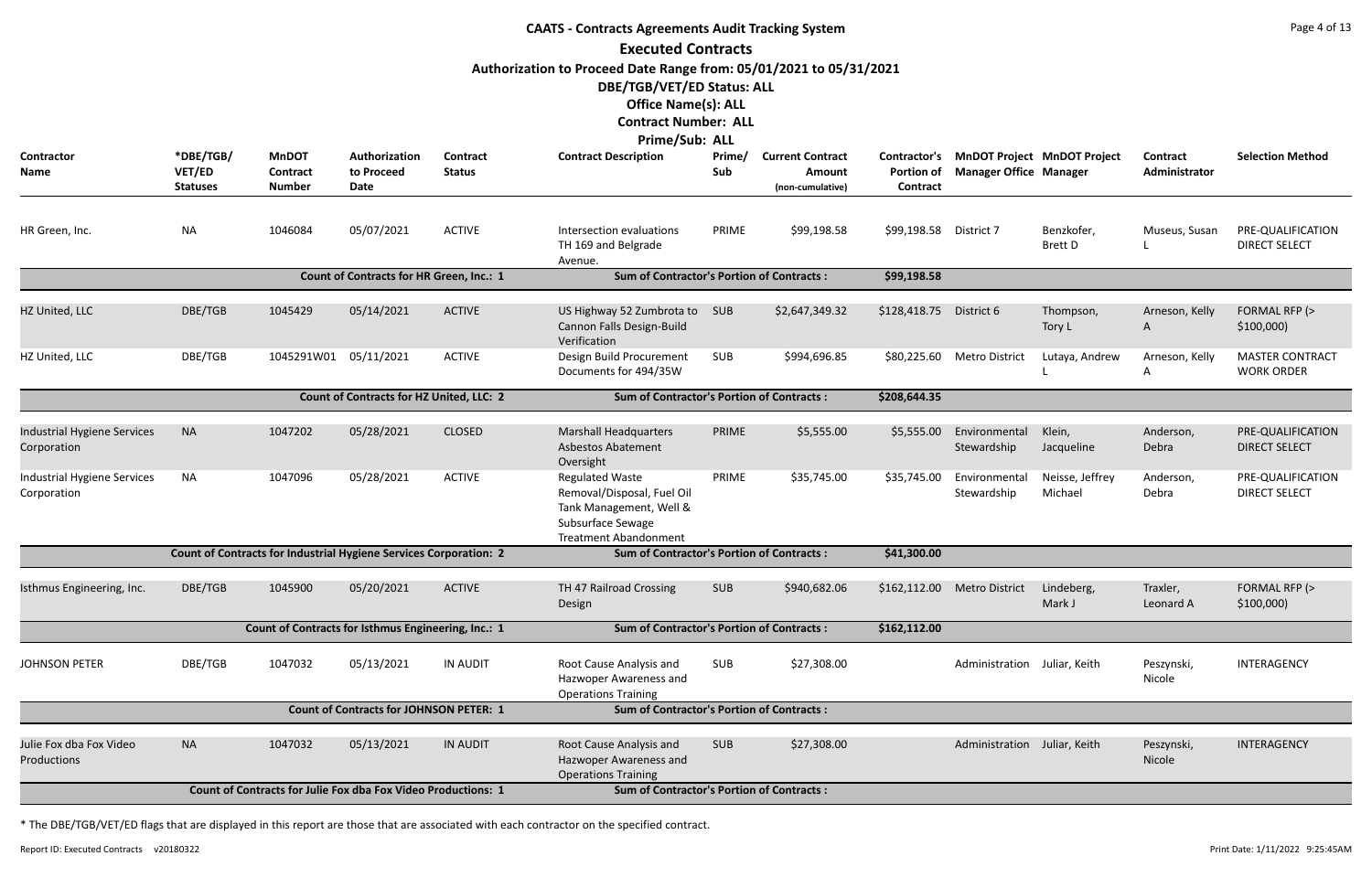| <b>CAATS - Contracts Agreements Audit Tracking System</b>                                                                                                                                                                                                                                                                                                                                                                                       |                           |                                  |                                                                          |                 |                                                                                                                                      |            |                            |                               |                               |                              |                       |                                             |
|-------------------------------------------------------------------------------------------------------------------------------------------------------------------------------------------------------------------------------------------------------------------------------------------------------------------------------------------------------------------------------------------------------------------------------------------------|---------------------------|----------------------------------|--------------------------------------------------------------------------|-----------------|--------------------------------------------------------------------------------------------------------------------------------------|------------|----------------------------|-------------------------------|-------------------------------|------------------------------|-----------------------|---------------------------------------------|
| <b>Executed Contracts</b><br>Authorization to Proceed Date Range from: 05/01/2021 to 05/31/2021<br>DBE/TGB/VET/ED Status: ALL<br><b>Office Name(s): ALL</b><br><b>Contract Number: ALL</b><br><b>Prime/Sub: ALL</b><br>*DBE/TGB/<br><b>MnDOT</b><br>Authorization<br><b>Contract</b><br><b>Contract Description</b><br>Prime/<br><b>Current Contract</b><br><b>MnDOT Project MnDOT Project</b><br>Contractor<br>Contractor's<br><b>Contract</b> |                           |                                  |                                                                          |                 |                                                                                                                                      |            |                            |                               |                               |                              |                       |                                             |
| Name                                                                                                                                                                                                                                                                                                                                                                                                                                            | VET/ED<br><b>Statuses</b> | <b>Contract</b><br><b>Number</b> | to Proceed<br>Date                                                       | <b>Status</b>   |                                                                                                                                      | Sub        | Amount<br>(non-cumulative) | <b>Portion of</b><br>Contract | <b>Manager Office Manager</b> |                              | Administrator         | <b>Selection Method</b>                     |
| HR Green, Inc.                                                                                                                                                                                                                                                                                                                                                                                                                                  | <b>NA</b>                 | 1046084                          | 05/07/2021                                                               | <b>ACTIVE</b>   | Intersection evaluations<br>TH 169 and Belgrade<br>Avenue.                                                                           | PRIME      | \$99,198.58                | \$99,198.58 District 7        |                               | Benzkofer,<br><b>Brett D</b> | Museus, Susan         | PRE-QUALIFICATION<br><b>DIRECT SELECT</b>   |
|                                                                                                                                                                                                                                                                                                                                                                                                                                                 |                           |                                  | Count of Contracts for HR Green, Inc.: 1                                 |                 | <b>Sum of Contractor's Portion of Contracts:</b>                                                                                     |            |                            | \$99,198.58                   |                               |                              |                       |                                             |
| HZ United, LLC                                                                                                                                                                                                                                                                                                                                                                                                                                  | DBE/TGB                   | 1045429                          | 05/14/2021                                                               | <b>ACTIVE</b>   | US Highway 52 Zumbrota to<br>Cannon Falls Design-Build<br>Verification                                                               | SUB        | \$2,647,349.32             | \$128,418.75                  | District 6                    | Thompson,<br>Tory L          | Arneson, Kelly<br>A   | FORMAL RFP (><br>\$100,000                  |
| HZ United, LLC                                                                                                                                                                                                                                                                                                                                                                                                                                  | DBE/TGB                   | 1045291W01                       | 05/11/2021                                                               | <b>ACTIVE</b>   | Design Build Procurement<br>Documents for 494/35W                                                                                    | SUB        | \$994,696.85               | \$80,225.60                   | <b>Metro District</b>         | Lutaya, Andrew               | Arneson, Kelly<br>A   | <b>MASTER CONTRACT</b><br><b>WORK ORDER</b> |
|                                                                                                                                                                                                                                                                                                                                                                                                                                                 |                           |                                  | Count of Contracts for HZ United, LLC: 2                                 |                 | <b>Sum of Contractor's Portion of Contracts:</b>                                                                                     |            |                            | \$208,644.35                  |                               |                              |                       |                                             |
| <b>Industrial Hygiene Services</b><br>Corporation                                                                                                                                                                                                                                                                                                                                                                                               | <b>NA</b>                 | 1047202                          | 05/28/2021                                                               | <b>CLOSED</b>   | <b>Marshall Headquarters</b><br><b>Asbestos Abatement</b><br>Oversight                                                               | PRIME      | \$5,555.00                 | \$5,555.00                    | Environmental<br>Stewardship  | Klein,<br>Jacqueline         | Anderson,<br>Debra    | PRE-QUALIFICATION<br><b>DIRECT SELECT</b>   |
| Industrial Hygiene Services<br>Corporation                                                                                                                                                                                                                                                                                                                                                                                                      | <b>NA</b>                 | 1047096                          | 05/28/2021                                                               | <b>ACTIVE</b>   | <b>Regulated Waste</b><br>Removal/Disposal, Fuel Oil<br>Tank Management, Well &<br>Subsurface Sewage<br><b>Treatment Abandonment</b> | PRIME      | \$35,745.00                | \$35,745.00                   | Environmental<br>Stewardship  | Neisse, Jeffrey<br>Michael   | Anderson,<br>Debra    | PRE-QUALIFICATION<br><b>DIRECT SELECT</b>   |
|                                                                                                                                                                                                                                                                                                                                                                                                                                                 |                           |                                  | <b>Count of Contracts for Industrial Hygiene Services Corporation: 2</b> |                 | <b>Sum of Contractor's Portion of Contracts:</b>                                                                                     |            |                            | \$41,300.00                   |                               |                              |                       |                                             |
| Isthmus Engineering, Inc.                                                                                                                                                                                                                                                                                                                                                                                                                       | DBE/TGB                   | 1045900                          | 05/20/2021                                                               | <b>ACTIVE</b>   | TH 47 Railroad Crossing<br>Design                                                                                                    | <b>SUB</b> | \$940,682.06               | \$162,112.00                  | <b>Metro District</b>         | Lindeberg,<br>Mark J         | Traxler,<br>Leonard A | FORMAL RFP (><br>\$100,000                  |
|                                                                                                                                                                                                                                                                                                                                                                                                                                                 |                           |                                  | Count of Contracts for Isthmus Engineering, Inc.: 1                      |                 | <b>Sum of Contractor's Portion of Contracts:</b>                                                                                     |            |                            | \$162,112.00                  |                               |                              |                       |                                             |
| <b>JOHNSON PETER</b>                                                                                                                                                                                                                                                                                                                                                                                                                            | DBE/TGB                   | 1047032                          | 05/13/2021                                                               | <b>IN AUDIT</b> | Root Cause Analysis and<br>Hazwoper Awareness and<br><b>Operations Training</b>                                                      | SUB        | \$27,308.00                |                               | Administration Juliar, Keith  |                              | Peszynski,<br>Nicole  | INTERAGENCY                                 |
|                                                                                                                                                                                                                                                                                                                                                                                                                                                 |                           |                                  | <b>Count of Contracts for JOHNSON PETER: 1</b>                           |                 | <b>Sum of Contractor's Portion of Contracts:</b>                                                                                     |            |                            |                               |                               |                              |                       |                                             |
| Julie Fox dba Fox Video<br>Productions                                                                                                                                                                                                                                                                                                                                                                                                          | <b>NA</b>                 | 1047032                          | 05/13/2021                                                               | <b>IN AUDIT</b> | Root Cause Analysis and<br>Hazwoper Awareness and<br><b>Operations Training</b>                                                      | <b>SUB</b> | \$27,308.00                |                               | Administration Juliar, Keith  |                              | Peszynski,<br>Nicole  | INTERAGENCY                                 |
|                                                                                                                                                                                                                                                                                                                                                                                                                                                 |                           |                                  | <b>Count of Contracts for Julie Fox dba Fox Video Productions: 1</b>     |                 | <b>Sum of Contractor's Portion of Contracts:</b>                                                                                     |            |                            |                               |                               |                              |                       |                                             |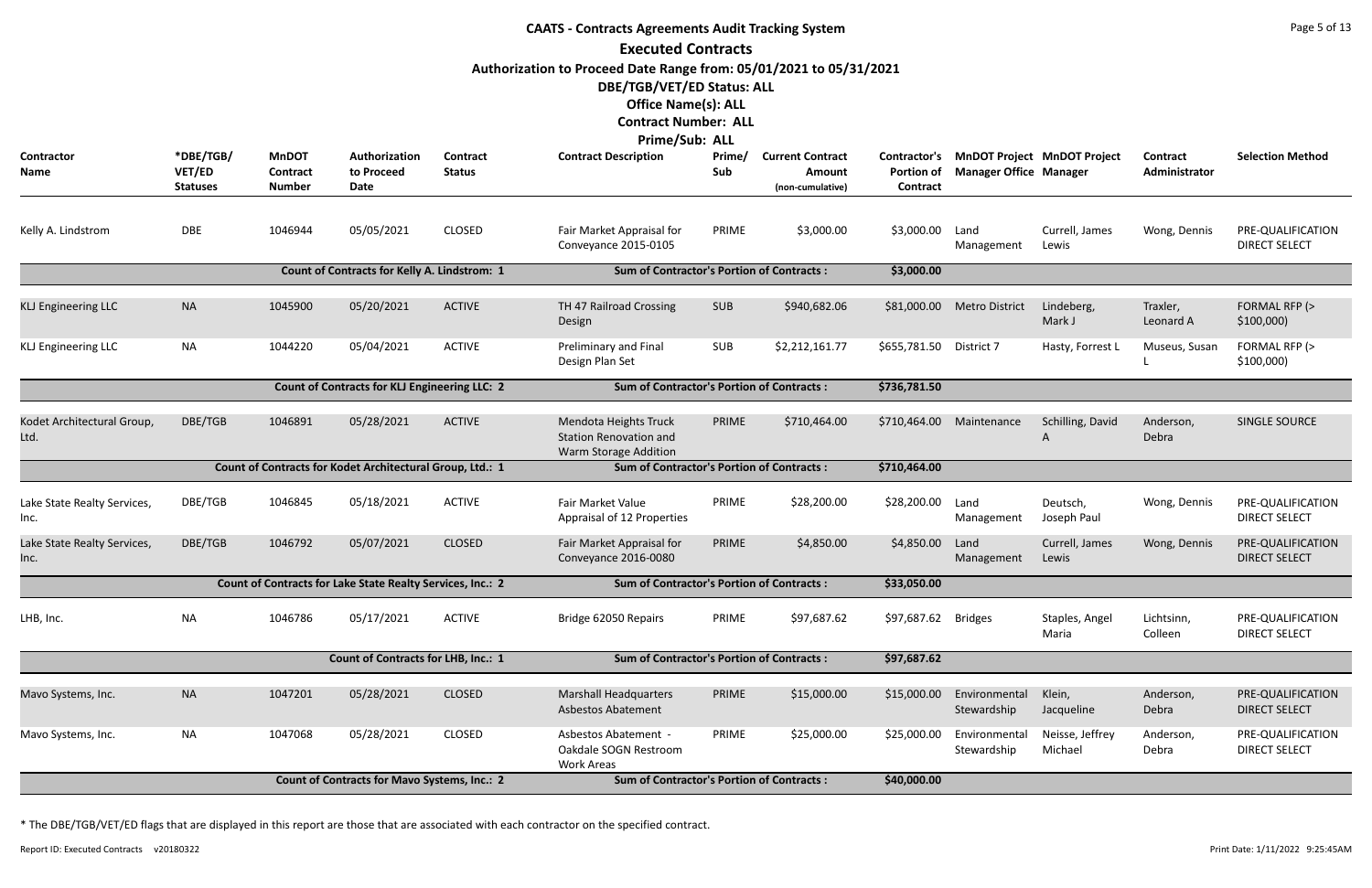| <b>CAATS - Contracts Agreements Audit Tracking System</b> |                                        |                                                  |                                                            |                                  |                                                                                                  |               |                                                       |                                               |                               |                                    |                           |                                           |
|-----------------------------------------------------------|----------------------------------------|--------------------------------------------------|------------------------------------------------------------|----------------------------------|--------------------------------------------------------------------------------------------------|---------------|-------------------------------------------------------|-----------------------------------------------|-------------------------------|------------------------------------|---------------------------|-------------------------------------------|
|                                                           |                                        |                                                  |                                                            |                                  | <b>Executed Contracts</b>                                                                        |               |                                                       |                                               |                               |                                    |                           |                                           |
|                                                           |                                        |                                                  |                                                            |                                  | Authorization to Proceed Date Range from: 05/01/2021 to 05/31/2021<br>DBE/TGB/VET/ED Status: ALL |               |                                                       |                                               |                               |                                    |                           |                                           |
|                                                           |                                        |                                                  |                                                            |                                  | <b>Office Name(s): ALL</b>                                                                       |               |                                                       |                                               |                               |                                    |                           |                                           |
|                                                           |                                        |                                                  |                                                            |                                  | <b>Contract Number: ALL</b><br><b>Prime/Sub: ALL</b>                                             |               |                                                       |                                               |                               |                                    |                           |                                           |
| <b>Contractor</b><br>Name                                 | *DBE/TGB/<br>VET/ED<br><b>Statuses</b> | <b>MnDOT</b><br><b>Contract</b><br><b>Number</b> | Authorization<br>to Proceed<br>Date                        | <b>Contract</b><br><b>Status</b> | <b>Contract Description</b>                                                                      | Prime/<br>Sub | <b>Current Contract</b><br>Amount<br>(non-cumulative) | Contractor's<br><b>Portion of</b><br>Contract | <b>Manager Office Manager</b> | <b>MnDOT Project MnDOT Project</b> | Contract<br>Administrator | <b>Selection Method</b>                   |
| Kelly A. Lindstrom                                        | <b>DBE</b>                             | 1046944                                          | 05/05/2021                                                 | <b>CLOSED</b>                    | Fair Market Appraisal for<br>Conveyance 2015-0105                                                | PRIME         | \$3,000.00                                            | \$3,000.00                                    | Land<br>Management            | Currell, James<br>Lewis            | Wong, Dennis              | PRE-QUALIFICATION<br><b>DIRECT SELECT</b> |
|                                                           |                                        |                                                  | <b>Count of Contracts for Kelly A. Lindstrom: 1</b>        |                                  | <b>Sum of Contractor's Portion of Contracts:</b>                                                 |               |                                                       | \$3,000.00                                    |                               |                                    |                           |                                           |
| <b>KLJ Engineering LLC</b>                                | <b>NA</b>                              | 1045900                                          | 05/20/2021                                                 | <b>ACTIVE</b>                    | TH 47 Railroad Crossing<br>Design                                                                | <b>SUB</b>    | \$940,682.06                                          | \$81,000.00                                   | <b>Metro District</b>         | Lindeberg,<br>Mark J               | Traxler,<br>Leonard A     | FORMAL RFP (><br>\$100,000                |
| <b>KLJ Engineering LLC</b>                                | <b>NA</b>                              | 1044220                                          | 05/04/2021                                                 | <b>ACTIVE</b>                    | Preliminary and Final<br>Design Plan Set                                                         | <b>SUB</b>    | \$2,212,161.77                                        | \$655,781.50                                  | District 7                    | Hasty, Forrest L                   | Museus, Susan             | FORMAL RFP (><br>\$100,000                |
|                                                           |                                        |                                                  | Count of Contracts for KLJ Engineering LLC: 2              |                                  | <b>Sum of Contractor's Portion of Contracts:</b>                                                 |               |                                                       | \$736,781.50                                  |                               |                                    |                           |                                           |
| Kodet Architectural Group,<br>Ltd.                        | DBE/TGB                                | 1046891                                          | 05/28/2021                                                 | <b>ACTIVE</b>                    | Mendota Heights Truck<br><b>Station Renovation and</b><br>Warm Storage Addition                  | PRIME         | \$710,464.00                                          | \$710,464.00                                  | Maintenance                   | Schilling, David<br>A              | Anderson,<br>Debra        | SINGLE SOURCE                             |
|                                                           |                                        |                                                  | Count of Contracts for Kodet Architectural Group, Ltd.: 1  |                                  | <b>Sum of Contractor's Portion of Contracts:</b>                                                 |               |                                                       | \$710,464.00                                  |                               |                                    |                           |                                           |
| Lake State Realty Services,<br>Inc.                       | DBE/TGB                                | 1046845                                          | 05/18/2021                                                 | <b>ACTIVE</b>                    | Fair Market Value<br>Appraisal of 12 Properties                                                  | PRIME         | \$28,200.00                                           | \$28,200.00                                   | Land<br>Management            | Deutsch,<br>Joseph Paul            | Wong, Dennis              | PRE-QUALIFICATION<br><b>DIRECT SELECT</b> |
| Lake State Realty Services,<br>Inc.                       | DBE/TGB                                | 1046792                                          | 05/07/2021                                                 | <b>CLOSED</b>                    | Fair Market Appraisal for<br>Conveyance 2016-0080                                                | PRIME         | \$4,850.00                                            | \$4,850.00                                    | Land<br>Management            | Currell, James<br>Lewis            | Wong, Dennis              | PRE-QUALIFICATION<br><b>DIRECT SELECT</b> |
|                                                           |                                        |                                                  | Count of Contracts for Lake State Realty Services, Inc.: 2 |                                  | <b>Sum of Contractor's Portion of Contracts:</b>                                                 |               |                                                       | \$33,050.00                                   |                               |                                    |                           |                                           |
| LHB, Inc.                                                 | <b>NA</b>                              | 1046786                                          | 05/17/2021                                                 | <b>ACTIVE</b>                    | Bridge 62050 Repairs                                                                             | PRIME         | \$97,687.62                                           | \$97,687.62 Bridges                           |                               | Staples, Angel<br>Maria            | Lichtsinn,<br>Colleen     | PRE-QUALIFICATION<br><b>DIRECT SELECT</b> |
|                                                           |                                        |                                                  | Count of Contracts for LHB, Inc.: 1                        |                                  | <b>Sum of Contractor's Portion of Contracts:</b>                                                 |               |                                                       | \$97,687.62                                   |                               |                                    |                           |                                           |
| Mavo Systems, Inc.                                        | <b>NA</b>                              | 1047201                                          | 05/28/2021                                                 | <b>CLOSED</b>                    | <b>Marshall Headquarters</b><br><b>Asbestos Abatement</b>                                        | PRIME         | \$15,000.00                                           | \$15,000.00                                   | Environmental<br>Stewardship  | Klein,<br>Jacqueline               | Anderson,<br>Debra        | PRE-QUALIFICATION<br><b>DIRECT SELECT</b> |
| Mavo Systems, Inc.                                        | NA                                     | 1047068                                          | 05/28/2021                                                 | <b>CLOSED</b>                    | Asbestos Abatement -<br>Oakdale SOGN Restroom<br><b>Work Areas</b>                               | PRIME         | \$25,000.00                                           | \$25,000.00                                   | Environmental<br>Stewardship  | Neisse, Jeffrey<br>Michael         | Anderson,<br>Debra        | PRE-QUALIFICATION<br><b>DIRECT SELECT</b> |
|                                                           |                                        |                                                  | <b>Count of Contracts for Mavo Systems, Inc.: 2</b>        | \$40,000.00                      |                                                                                                  |               |                                                       |                                               |                               |                                    |                           |                                           |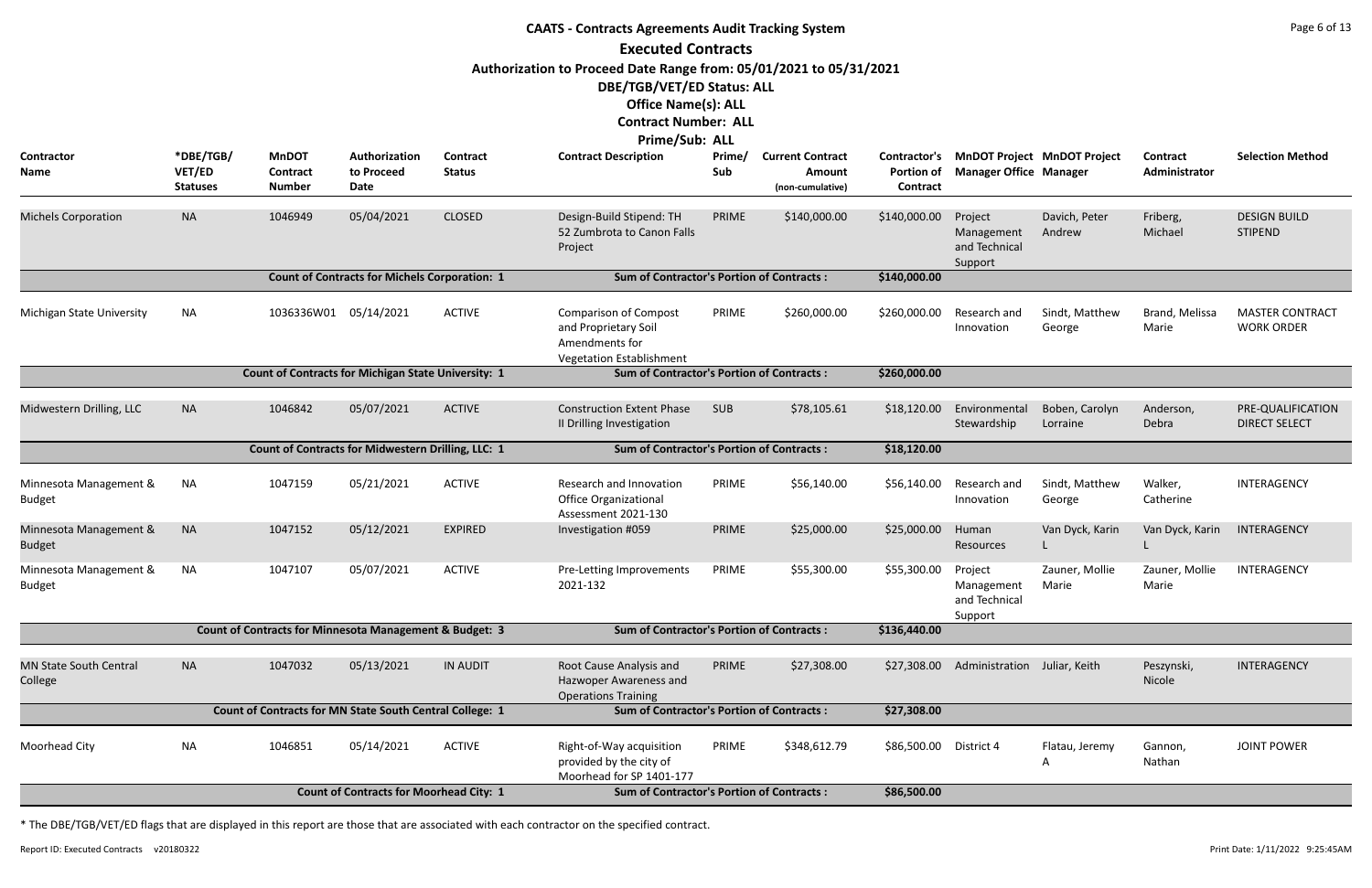| <b>CAATS - Contracts Agreements Audit Tracking System</b> |                                        |                                                                    |                                                      |                           |                                                                                                                                |               |                                                       |                                               |                                                   |                                    |                           |                                             |
|-----------------------------------------------------------|----------------------------------------|--------------------------------------------------------------------|------------------------------------------------------|---------------------------|--------------------------------------------------------------------------------------------------------------------------------|---------------|-------------------------------------------------------|-----------------------------------------------|---------------------------------------------------|------------------------------------|---------------------------|---------------------------------------------|
|                                                           |                                        |                                                                    |                                                      |                           | <b>Executed Contracts</b>                                                                                                      |               |                                                       |                                               |                                                   |                                    |                           |                                             |
|                                                           |                                        |                                                                    |                                                      |                           | Authorization to Proceed Date Range from: 05/01/2021 to 05/31/2021<br>DBE/TGB/VET/ED Status: ALL<br><b>Office Name(s): ALL</b> |               |                                                       |                                               |                                                   |                                    |                           |                                             |
|                                                           |                                        |                                                                    |                                                      |                           | <b>Contract Number: ALL</b>                                                                                                    |               |                                                       |                                               |                                                   |                                    |                           |                                             |
|                                                           |                                        |                                                                    |                                                      |                           | Prime/Sub: ALL                                                                                                                 |               |                                                       |                                               |                                                   |                                    |                           |                                             |
| Contractor<br>Name                                        | *DBE/TGB/<br>VET/ED<br><b>Statuses</b> | <b>MnDOT</b><br><b>Contract</b><br><b>Number</b>                   | Authorization<br>to Proceed<br><b>Date</b>           | Contract<br><b>Status</b> | <b>Contract Description</b>                                                                                                    | Prime/<br>Sub | <b>Current Contract</b><br>Amount<br>(non-cumulative) | Contractor's<br><b>Portion of</b><br>Contract | <b>Manager Office Manager</b>                     | <b>MnDOT Project MnDOT Project</b> | Contract<br>Administrator | <b>Selection Method</b>                     |
| <b>Michels Corporation</b>                                | <b>NA</b>                              | 1046949                                                            | 05/04/2021                                           | <b>CLOSED</b>             | Design-Build Stipend: TH<br>52 Zumbrota to Canon Falls<br>Project                                                              | PRIME         | \$140,000.00                                          | \$140,000.00                                  | Project<br>Management<br>and Technical<br>Support | Davich, Peter<br>Andrew            | Friberg,<br>Michael       | <b>DESIGN BUILD</b><br><b>STIPEND</b>       |
|                                                           |                                        |                                                                    | <b>Count of Contracts for Michels Corporation: 1</b> |                           | <b>Sum of Contractor's Portion of Contracts:</b>                                                                               |               |                                                       | \$140,000.00                                  |                                                   |                                    |                           |                                             |
| Michigan State University                                 | <b>NA</b>                              | 1036336W01 05/14/2021                                              |                                                      | <b>ACTIVE</b>             | <b>Comparison of Compost</b><br>and Proprietary Soil<br>Amendments for<br><b>Vegetation Establishment</b>                      | PRIME         | \$260,000.00                                          | \$260,000.00                                  | Research and<br>Innovation                        | Sindt, Matthew<br>George           | Brand, Melissa<br>Marie   | <b>MASTER CONTRACT</b><br><b>WORK ORDER</b> |
|                                                           |                                        | Count of Contracts for Michigan State University: 1                |                                                      |                           | <b>Sum of Contractor's Portion of Contracts:</b>                                                                               |               |                                                       | \$260,000.00                                  |                                                   |                                    |                           |                                             |
| Midwestern Drilling, LLC                                  | <b>NA</b>                              | 1046842                                                            | 05/07/2021                                           | <b>ACTIVE</b>             | <b>Construction Extent Phase</b><br>II Drilling Investigation                                                                  | <b>SUB</b>    | \$78,105.61                                           | \$18,120.00                                   | Environmental<br>Stewardship                      | Boben, Carolyn<br>Lorraine         | Anderson,<br>Debra        | PRE-QUALIFICATION<br><b>DIRECT SELECT</b>   |
|                                                           |                                        | Count of Contracts for Midwestern Drilling, LLC: 1                 |                                                      |                           | <b>Sum of Contractor's Portion of Contracts:</b>                                                                               |               |                                                       | \$18,120.00                                   |                                                   |                                    |                           |                                             |
| Minnesota Management &<br><b>Budget</b>                   | NA                                     | 1047159                                                            | 05/21/2021                                           | <b>ACTIVE</b>             | Research and Innovation<br><b>Office Organizational</b><br>Assessment 2021-130                                                 | PRIME         | \$56,140.00                                           | \$56,140.00                                   | Research and<br>Innovation                        | Sindt, Matthew<br>George           | Walker,<br>Catherine      | INTERAGENCY                                 |
| Minnesota Management &<br><b>Budget</b>                   | <b>NA</b>                              | 1047152                                                            | 05/12/2021                                           | <b>EXPIRED</b>            | Investigation #059                                                                                                             | PRIME         | \$25,000.00                                           | \$25,000.00                                   | Human<br>Resources                                | Van Dyck, Karin                    | Van Dyck, Karin           | INTERAGENCY                                 |
| Minnesota Management &<br><b>Budget</b>                   | NA                                     | 1047107                                                            | 05/07/2021                                           | <b>ACTIVE</b>             | Pre-Letting Improvements<br>2021-132                                                                                           | PRIME         | \$55,300.00                                           | \$55,300.00                                   | Project<br>Management<br>and Technical<br>Support | Zauner, Mollie<br>Marie            | Zauner, Mollie<br>Marie   | INTERAGENCY                                 |
|                                                           |                                        | <b>Count of Contracts for Minnesota Management &amp; Budget: 3</b> |                                                      |                           | <b>Sum of Contractor's Portion of Contracts:</b>                                                                               |               |                                                       | \$136,440.00                                  |                                                   |                                    |                           |                                             |
| <b>MN State South Central</b><br>College                  | <b>NA</b>                              | 1047032                                                            | 05/13/2021                                           | <b>IN AUDIT</b>           | Root Cause Analysis and<br>Hazwoper Awareness and<br><b>Operations Training</b>                                                | PRIME         | \$27,308.00                                           | \$27,308.00                                   | Administration Juliar, Keith                      |                                    | Peszynski,<br>Nicole      | INTERAGENCY                                 |
|                                                           |                                        | Count of Contracts for MN State South Central College: 1           |                                                      |                           | <b>Sum of Contractor's Portion of Contracts:</b>                                                                               |               |                                                       | \$27,308.00                                   |                                                   |                                    |                           |                                             |
| Moorhead City                                             | <b>NA</b>                              | 1046851                                                            | 05/14/2021                                           | <b>ACTIVE</b>             | Right-of-Way acquisition<br>provided by the city of<br>Moorhead for SP 1401-177                                                | PRIME         | \$348,612.79                                          | \$86,500.00                                   | District 4                                        | Flatau, Jeremy                     | Gannon,<br>Nathan         | <b>JOINT POWER</b>                          |
|                                                           |                                        |                                                                    | <b>Count of Contracts for Moorhead City: 1</b>       |                           | <b>Sum of Contractor's Portion of Contracts:</b>                                                                               |               |                                                       | \$86,500.00                                   |                                                   |                                    |                           |                                             |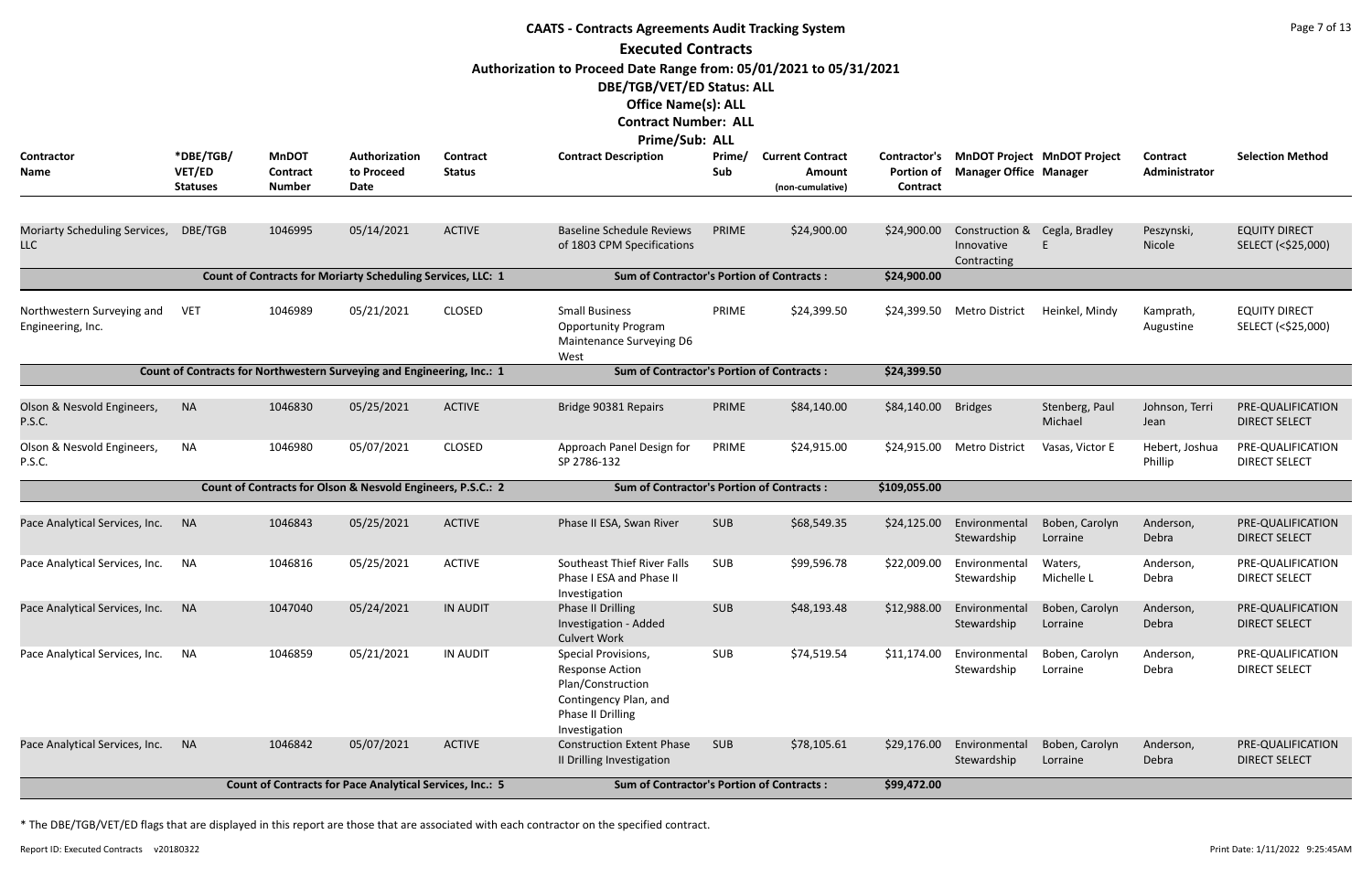| <b>CAATS - Contracts Agreements Audit Tracking System</b> |                                        |                                                  |                                                                        |                           |                                                                                                                                                                                 |               |                                                              |                                               |                                                            |                                    |                           |                                            |
|-----------------------------------------------------------|----------------------------------------|--------------------------------------------------|------------------------------------------------------------------------|---------------------------|---------------------------------------------------------------------------------------------------------------------------------------------------------------------------------|---------------|--------------------------------------------------------------|-----------------------------------------------|------------------------------------------------------------|------------------------------------|---------------------------|--------------------------------------------|
|                                                           |                                        |                                                  |                                                                        |                           | <b>Executed Contracts</b>                                                                                                                                                       |               |                                                              |                                               |                                                            |                                    |                           |                                            |
|                                                           |                                        |                                                  |                                                                        |                           | Authorization to Proceed Date Range from: 05/01/2021 to 05/31/2021<br>DBE/TGB/VET/ED Status: ALL<br><b>Office Name(s): ALL</b><br><b>Contract Number: ALL</b><br>Prime/Sub: ALL |               |                                                              |                                               |                                                            |                                    |                           |                                            |
| Contractor<br>Name                                        | *DBE/TGB/<br>VET/ED<br><b>Statuses</b> | <b>MnDOT</b><br><b>Contract</b><br><b>Number</b> | Authorization<br>to Proceed<br>Date                                    | Contract<br><b>Status</b> | <b>Contract Description</b>                                                                                                                                                     | Prime/<br>Sub | <b>Current Contract</b><br><b>Amount</b><br>(non-cumulative) | Contractor's<br><b>Portion of</b><br>Contract | <b>Manager Office Manager</b>                              | <b>MnDOT Project MnDOT Project</b> | Contract<br>Administrator | <b>Selection Method</b>                    |
| Moriarty Scheduling Services,<br><b>LLC</b>               | DBE/TGB                                | 1046995                                          | 05/14/2021                                                             | <b>ACTIVE</b>             | <b>Baseline Schedule Reviews</b><br>of 1803 CPM Specifications                                                                                                                  | PRIME         | \$24,900.00                                                  | \$24,900.00                                   | Construction & Cegla, Bradley<br>Innovative<br>Contracting |                                    | Peszynski,<br>Nicole      | <b>EQUITY DIRECT</b><br>SELECT (<\$25,000) |
|                                                           |                                        |                                                  | Count of Contracts for Moriarty Scheduling Services, LLC: 1            |                           | <b>Sum of Contractor's Portion of Contracts:</b>                                                                                                                                |               |                                                              | \$24,900.00                                   |                                                            |                                    |                           |                                            |
| Northwestern Surveying and<br>Engineering, Inc.           | <b>VET</b>                             | 1046989                                          | 05/21/2021                                                             | <b>CLOSED</b>             | <b>Small Business</b><br><b>Opportunity Program</b><br>Maintenance Surveying D6<br>West                                                                                         | PRIME         | \$24,399.50                                                  |                                               | \$24,399.50 Metro District                                 | Heinkel, Mindy                     | Kamprath,<br>Augustine    | <b>EQUITY DIRECT</b><br>SELECT (<\$25,000) |
|                                                           |                                        |                                                  | Count of Contracts for Northwestern Surveying and Engineering, Inc.: 1 |                           | <b>Sum of Contractor's Portion of Contracts:</b>                                                                                                                                |               |                                                              | \$24,399.50                                   |                                                            |                                    |                           |                                            |
| Olson & Nesvold Engineers,<br>P.S.C.                      | <b>NA</b>                              | 1046830                                          | 05/25/2021                                                             | <b>ACTIVE</b>             | Bridge 90381 Repairs                                                                                                                                                            | PRIME         | \$84,140.00                                                  | \$84,140.00                                   | <b>Bridges</b>                                             | Stenberg, Paul<br>Michael          | Johnson, Terri<br>Jean    | PRE-QUALIFICATION<br><b>DIRECT SELECT</b>  |
| Olson & Nesvold Engineers,<br>P.S.C.                      | NA                                     | 1046980                                          | 05/07/2021                                                             | <b>CLOSED</b>             | Approach Panel Design for<br>SP 2786-132                                                                                                                                        | PRIME         | \$24,915.00                                                  | \$24,915.00                                   | <b>Metro District</b>                                      | Vasas, Victor E                    | Hebert, Joshua<br>Phillip | PRE-QUALIFICATION<br><b>DIRECT SELECT</b>  |
|                                                           |                                        |                                                  | Count of Contracts for Olson & Nesvold Engineers, P.S.C.: 2            |                           | <b>Sum of Contractor's Portion of Contracts:</b>                                                                                                                                |               |                                                              | \$109,055.00                                  |                                                            |                                    |                           |                                            |
| Pace Analytical Services, Inc. NA                         |                                        | 1046843                                          | 05/25/2021                                                             | ACTIVE                    | Phase II ESA, Swan River                                                                                                                                                        | <b>SUB</b>    | \$68,549.35                                                  |                                               | \$24,125.00 Environmental<br>Stewardship                   | Boben, Carolyn<br>Lorraine         | Anderson,<br>Debra        | PRE-QUALIFICATION<br><b>DIRECT SELECT</b>  |
| Pace Analytical Services, Inc.                            | <b>NA</b>                              | 1046816                                          | 05/25/2021                                                             | <b>ACTIVE</b>             | Southeast Thief River Falls<br>Phase I ESA and Phase II<br>Investigation                                                                                                        | SUB           | \$99,596.78                                                  | \$22,009.00                                   | Environmental<br>Stewardship                               | Waters,<br>Michelle L              | Anderson,<br>Debra        | PRE-QUALIFICATION<br><b>DIRECT SELECT</b>  |
| Pace Analytical Services, Inc.                            | <b>NA</b>                              | 1047040                                          | 05/24/2021                                                             | <b>IN AUDIT</b>           | Phase II Drilling<br>Investigation - Added<br><b>Culvert Work</b>                                                                                                               | <b>SUB</b>    | \$48,193.48                                                  | \$12,988.00                                   | Environmental<br>Stewardship                               | Boben, Carolyn<br>Lorraine         | Anderson,<br>Debra        | PRE-QUALIFICATION<br><b>DIRECT SELECT</b>  |
| Pace Analytical Services, Inc.                            | NA                                     | 1046859                                          | 05/21/2021                                                             | <b>IN AUDIT</b>           | Special Provisions,<br><b>Response Action</b><br>Plan/Construction<br>Contingency Plan, and<br>Phase II Drilling<br>Investigation                                               | <b>SUB</b>    | \$74,519.54                                                  | \$11,174.00                                   | Environmental<br>Stewardship                               | Boben, Carolyn<br>Lorraine         | Anderson,<br>Debra        | PRE-QUALIFICATION<br><b>DIRECT SELECT</b>  |
| Pace Analytical Services, Inc.                            | <b>NA</b>                              | 1046842                                          | 05/07/2021                                                             | <b>ACTIVE</b>             | <b>Construction Extent Phase</b><br>II Drilling Investigation                                                                                                                   | <b>SUB</b>    | \$78,105.61                                                  | \$29,176.00                                   | Environmental<br>Stewardship                               | Boben, Carolyn<br>Lorraine         | Anderson,<br>Debra        | PRE-QUALIFICATION<br><b>DIRECT SELECT</b>  |
|                                                           |                                        |                                                  | Count of Contracts for Pace Analytical Services, Inc.: 5               |                           | <b>Sum of Contractor's Portion of Contracts:</b>                                                                                                                                |               |                                                              | \$99,472.00                                   |                                                            |                                    |                           |                                            |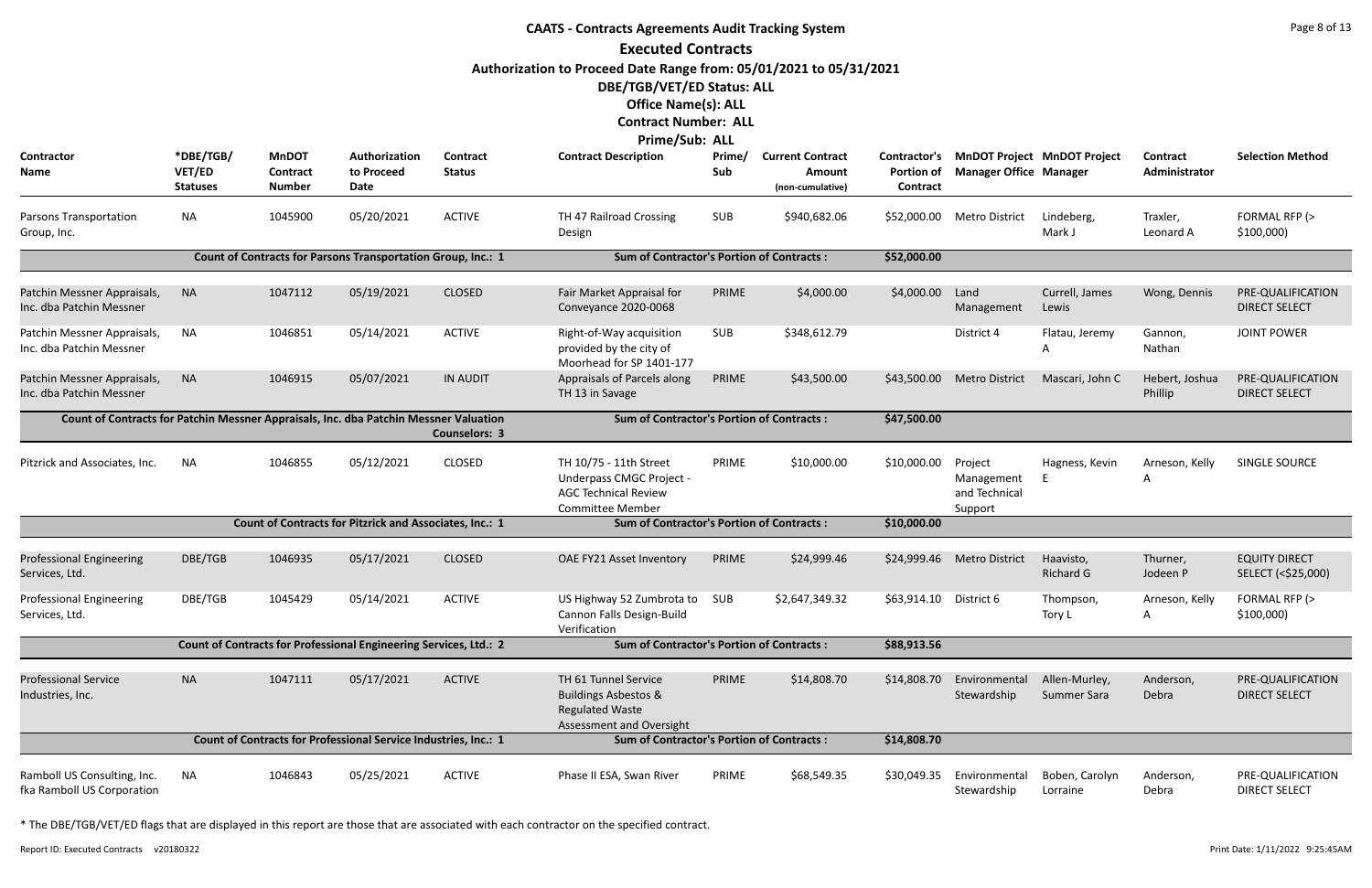|                                                                                       | <b>CAATS - Contracts Agreements Audit Tracking System</b><br><b>Executed Contracts</b> |                                                  |                                                                   |                           |                                                                                                                                                                                 |               |                                                       |                               |                                                   |                                          |                                  |                                            |  |
|---------------------------------------------------------------------------------------|----------------------------------------------------------------------------------------|--------------------------------------------------|-------------------------------------------------------------------|---------------------------|---------------------------------------------------------------------------------------------------------------------------------------------------------------------------------|---------------|-------------------------------------------------------|-------------------------------|---------------------------------------------------|------------------------------------------|----------------------------------|--------------------------------------------|--|
|                                                                                       |                                                                                        |                                                  |                                                                   |                           | Authorization to Proceed Date Range from: 05/01/2021 to 05/31/2021<br>DBE/TGB/VET/ED Status: ALL<br><b>Office Name(s): ALL</b><br><b>Contract Number: ALL</b><br>Prime/Sub: ALL |               |                                                       |                               |                                                   |                                          |                                  |                                            |  |
| Contractor<br>Name                                                                    | *DBE/TGB/<br>VET/ED<br><b>Statuses</b>                                                 | <b>MnDOT</b><br><b>Contract</b><br><b>Number</b> | Authorization<br>to Proceed<br>Date                               | Contract<br><b>Status</b> | <b>Contract Description</b>                                                                                                                                                     | Prime/<br>Sub | <b>Current Contract</b><br>Amount<br>(non-cumulative) | <b>Portion of</b><br>Contract | <b>Manager Office Manager</b>                     | Contractor's MnDOT Project MnDOT Project | <b>Contract</b><br>Administrator | <b>Selection Method</b>                    |  |
| <b>Parsons Transportation</b><br>Group, Inc.                                          | <b>NA</b>                                                                              | 1045900                                          | 05/20/2021                                                        | <b>ACTIVE</b>             | TH 47 Railroad Crossing<br>Design                                                                                                                                               | <b>SUB</b>    | \$940,682.06                                          | \$52,000.00                   | <b>Metro District</b>                             | Lindeberg,<br>Mark J                     | Traxler,<br>Leonard A            | FORMAL RFP (><br>\$100,000                 |  |
|                                                                                       |                                                                                        |                                                  | Count of Contracts for Parsons Transportation Group, Inc.: 1      |                           | <b>Sum of Contractor's Portion of Contracts:</b>                                                                                                                                |               |                                                       | \$52,000.00                   |                                                   |                                          |                                  |                                            |  |
| Patchin Messner Appraisals,<br>Inc. dba Patchin Messner                               | <b>NA</b>                                                                              | 1047112                                          | 05/19/2021                                                        | <b>CLOSED</b>             | Fair Market Appraisal for<br>Conveyance 2020-0068                                                                                                                               | PRIME         | \$4,000.00                                            | \$4,000.00                    | Land<br>Management                                | Currell, James<br>Lewis                  | Wong, Dennis                     | PRE-QUALIFICATION<br><b>DIRECT SELECT</b>  |  |
| Patchin Messner Appraisals,<br>Inc. dba Patchin Messner                               | <b>NA</b>                                                                              | 1046851                                          | 05/14/2021                                                        | <b>ACTIVE</b>             | Right-of-Way acquisition<br>provided by the city of<br>Moorhead for SP 1401-177                                                                                                 | <b>SUB</b>    | \$348,612.79                                          |                               | District 4                                        | Flatau, Jeremy                           | Gannon,<br>Nathan                | <b>JOINT POWER</b>                         |  |
| Patchin Messner Appraisals,<br>Inc. dba Patchin Messner                               | <b>NA</b>                                                                              | 1046915                                          | 05/07/2021                                                        | <b>IN AUDIT</b>           | Appraisals of Parcels along<br>TH 13 in Savage                                                                                                                                  | PRIME         | \$43,500.00                                           | \$43,500.00                   | <b>Metro District</b>                             | Mascari, John C                          | Hebert, Joshua<br>Phillip        | PRE-QUALIFICATION<br><b>DIRECT SELECT</b>  |  |
| Count of Contracts for Patchin Messner Appraisals, Inc. dba Patchin Messner Valuation |                                                                                        |                                                  |                                                                   | <b>Counselors: 3</b>      | <b>Sum of Contractor's Portion of Contracts:</b>                                                                                                                                |               |                                                       | \$47,500.00                   |                                                   |                                          |                                  |                                            |  |
| Pitzrick and Associates, Inc.                                                         | <b>NA</b>                                                                              | 1046855                                          | 05/12/2021                                                        | <b>CLOSED</b>             | TH 10/75 - 11th Street<br>Underpass CMGC Project -<br><b>AGC Technical Review</b><br><b>Committee Member</b>                                                                    | PRIME         | \$10,000.00                                           | \$10,000.00                   | Project<br>Management<br>and Technical<br>Support | Hagness, Kevin                           | Arneson, Kelly<br>A              | SINGLE SOURCE                              |  |
|                                                                                       |                                                                                        |                                                  | <b>Count of Contracts for Pitzrick and Associates, Inc.: 1</b>    |                           | <b>Sum of Contractor's Portion of Contracts:</b>                                                                                                                                |               |                                                       | \$10,000.00                   |                                                   |                                          |                                  |                                            |  |
| <b>Professional Engineering</b><br>Services, Ltd.                                     | DBE/TGB                                                                                | 1046935                                          | 05/17/2021                                                        | <b>CLOSED</b>             | OAE FY21 Asset Inventory                                                                                                                                                        | PRIME         | \$24,999.46                                           |                               | \$24,999.46 Metro District                        | Haavisto,<br><b>Richard G</b>            | Thurner,<br>Jodeen P             | <b>EQUITY DIRECT</b><br>SELECT (<\$25,000) |  |
| <b>Professional Engineering</b><br>Services, Ltd.                                     | DBE/TGB                                                                                | 1045429                                          | 05/14/2021                                                        | <b>ACTIVE</b>             | US Highway 52 Zumbrota to<br>Cannon Falls Design-Build<br>Verification                                                                                                          | SUB           | \$2,647,349.32                                        | \$63,914.10                   | District 6                                        | Thompson,<br>Tory L                      | Arneson, Kelly<br>A              | FORMAL RFP (><br>\$100,000                 |  |
|                                                                                       |                                                                                        |                                                  | Count of Contracts for Professional Engineering Services, Ltd.: 2 |                           | <b>Sum of Contractor's Portion of Contracts:</b>                                                                                                                                |               |                                                       | \$88,913.56                   |                                                   |                                          |                                  |                                            |  |
| <b>Professional Service</b><br>Industries, Inc.                                       | <b>NA</b>                                                                              | 1047111                                          | 05/17/2021                                                        | <b>ACTIVE</b>             | TH 61 Tunnel Service<br><b>Buildings Asbestos &amp;</b><br><b>Regulated Waste</b><br>Assessment and Oversight                                                                   | PRIME         | \$14,808.70                                           | \$14,808.70                   | Environmental<br>Stewardship                      | Allen-Murley,<br>Summer Sara             | Anderson,<br>Debra               | PRE-QUALIFICATION<br><b>DIRECT SELECT</b>  |  |
|                                                                                       |                                                                                        |                                                  | Count of Contracts for Professional Service Industries, Inc.: 1   |                           | <b>Sum of Contractor's Portion of Contracts:</b>                                                                                                                                |               |                                                       | \$14,808.70                   |                                                   |                                          |                                  |                                            |  |
| Ramboll US Consulting, Inc.<br>fka Ramboll US Corporation                             | <b>NA</b>                                                                              | 1046843                                          | 05/25/2021                                                        | <b>ACTIVE</b>             | Phase II ESA, Swan River                                                                                                                                                        | PRIME         | \$68,549.35                                           | \$30,049.35                   | Environmental<br>Stewardship                      | Boben, Carolyn<br>Lorraine               | Anderson,<br>Debra               | PRE-QUALIFICATION<br><b>DIRECT SELECT</b>  |  |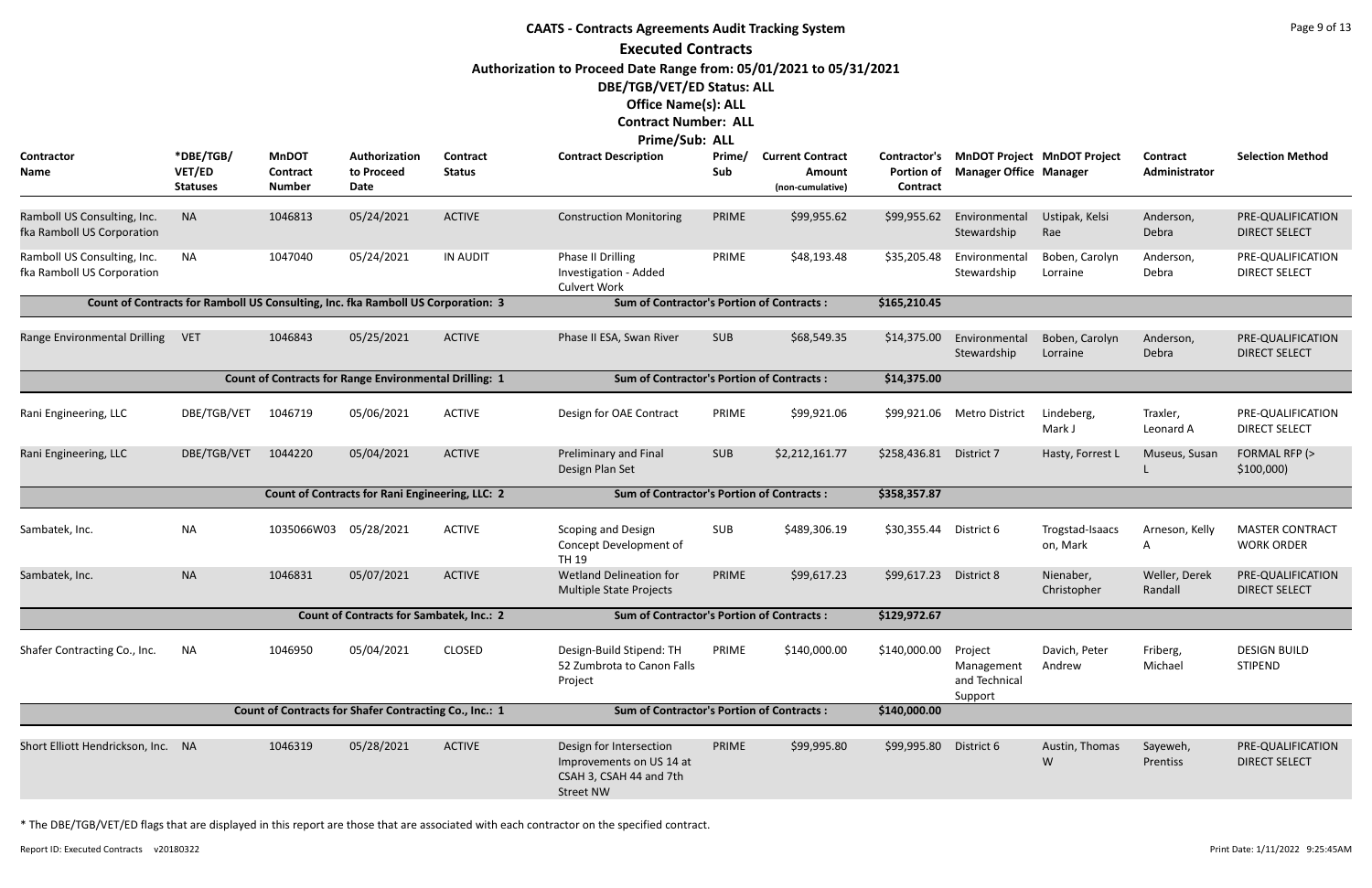### **CAATS - Contracts Agreements Audit Tracking System Executed Contracts Authorization to Proceed Date Range from: 05/01/2021 to 05/31/2021 DBE/TGB/VET/ED Status: ALL Office Name(s): ALL Contract Number: ALL Prime/Sub: ALL Contractor Name \*DBE/TGB/ VET/ED Statuses Authorization to Proceed Date MnDOT Contract Number Prime/ Sub Contract Description Prime/ Current Contract Portion of Manager Office Contract Amount (non-cumulative) Contract Status** Ramboll US Consulting, Inc. fka Ramboll US Corporation NA 1046813 05/24/2021 ACTIVE Construction Monitoring PRIME \$99,955.62 \$99,955.62 Environmental Ustipak, Kelsi Stewardshi ACTIVE Ramboll US Consulting, Inc. fka Ramboll US Corporation NA 1047040 05/24/2021 IN AUDIT Phase II Drilling PRIME Investigation - Added Culvert Work 05/24/2021 IN AUDIT Phase II Drilling PRIME \$48,193.48 \$35,205.48 Environmental Boben, Carolyn Stewardshi IN AUDIT **Count of Contracts for Ramboll US Consulting, Inc. fka Ramboll US Corporation: 3 Sum of Contractor's Portion of Contracts : \$165,210.45** Range Environmental Drilling VET 1046843 05/25/2021 ACTIVE Phase II ESA, Swan River SUB \$68,549.35 \$14,375.00 Environmental Drilling VET Stewardshi Phase II ESA, Swan River ACTIVE **Count of Contracts for Range Environmental Drilling: 1 Sum of Contractor's Portion of Contracts : \$14,375.00** Rani Engineering, LLC DBE/TGB/VET 1046719 05/06/2021 ACTIVE Design for OAE Contract PRIME \$99,921.06 \$99,921.06 Metro District Lindeberg, Traxler, PRE-QUALIFICATION 05/06/2021 ACTIVE Design for OAE Contract PRIME \$99,921.06 \$99,921.06 Metro Distr ACTIVE Rani Engineering, LLC BBE/TGB/VET 1044220 05/04/2021 ACTIVE Preliminary and Final SUB Design Plan Set 05/04/2021 ACTIVE Preliminary and Final SUB \$2,212,161.77 \$258,436.81 District 7 Hasty, Forrest L Museus, Susan FORMAL RFP (> ACTIVE **Count of Contracts for Rani Engineering, LLC: 2 Sum of Contractor's Portion of Contracts : \$358,357.87** Sambatek, Inc. **Sambatek, Inc.** NA 1035066W03 05/28/2021 ACTIVE Scoping and Design SUB Concept Development of TH 19 05/28/2021 ACTIVE Scoping and Design SUB \$489,306.19 \$30,355.44 District 6 Trogstad-Isaacs Arneson, Kelly MASTER CONTRACT ACTIVE Sambatek, Inc. NA 1046831 Wetland Delineation for PRIME 05/07/2021 \$99,617.23 Nienaber, Multiple State Projects \$99,617.23 District 8 ACTIVE **Count of Contracts for Sambatek, Inc.: 2 Sum of Contractor's Portion of Contracts : \$129,972.67** Shafer Contracting Co., Inc. NA 1046950 05/04/2021 CLOSED Design-Build Stipend: TH PRIME 52 Zumbrota to Canon Falls Project \$140,000.00 Project Manageme and Technic Support Design-Build Stipend: TH PRIME \$140,000.00 CLOSED **Count of Contracts for Shafer Contracting Co., Inc.: 1 Sum of Contractor's Portion of Contracts : \$140,000.00** Short Elliott Hendrickson, Inc. NA 1046319 05/28/2021 ACTIVE Design for Intersection PRIME Improvements on US 14 at CSAH 3, CSAH 44 and 7th Street NW 05/28/2021 ACTIVE Design for Intersection PRIME \$99,995.80 \$99,995.80 District 6 Austin, Thomas Sayeweh, PRE-QUALIFICATION ACTIVE

| <b>Current Contract</b><br><b>Amount</b><br>(non-cumulative) | Contractor's<br><b>Portion of</b><br><b>Contract</b> | <b>Manager Office Manager</b>                     | MnDOT Project MnDOT Project | <b>Contract</b><br>Administrator | <b>Selection Method</b>                     |
|--------------------------------------------------------------|------------------------------------------------------|---------------------------------------------------|-----------------------------|----------------------------------|---------------------------------------------|
| \$99,955.62                                                  | \$99,955.62                                          | Environmental<br>Stewardship                      | Ustipak, Kelsi<br>Rae       | Anderson,<br>Debra               | PRE-QUALIFICATION<br><b>DIRECT SELECT</b>   |
| \$48,193.48                                                  | \$35,205.48                                          | Environmental<br>Stewardship                      | Boben, Carolyn<br>Lorraine  | Anderson,<br>Debra               | PRE-QUALIFICATION<br><b>DIRECT SELECT</b>   |
| of Contracts:                                                | \$165,210.45                                         |                                                   |                             |                                  |                                             |
| \$68,549.35                                                  | \$14,375.00                                          | Environmental<br>Stewardship                      | Boben, Carolyn<br>Lorraine  | Anderson,<br>Debra               | PRE-QUALIFICATION<br><b>DIRECT SELECT</b>   |
| of Contracts:                                                | \$14,375.00                                          |                                                   |                             |                                  |                                             |
| \$99,921.06                                                  | \$99,921.06                                          | <b>Metro District</b>                             | Lindeberg,<br>Mark J        | Traxler,<br>Leonard A            | PRE-QUALIFICATION<br><b>DIRECT SELECT</b>   |
| \$2,212,161.77                                               | \$258,436.81<br>District 7                           |                                                   | Hasty, Forrest L            | Museus, Susan<br>L               | FORMAL RFP (><br>\$100,000                  |
| of Contracts:                                                | \$358,357.87                                         |                                                   |                             |                                  |                                             |
| \$489,306.19                                                 | \$30,355.44                                          | District 6                                        | Trogstad-Isaacs<br>on, Mark | Arneson, Kelly<br>A              | <b>MASTER CONTRACT</b><br><b>WORK ORDER</b> |
| \$99,617.23                                                  | \$99,617.23                                          | District 8                                        | Nienaber,<br>Christopher    | Weller, Derek<br>Randall         | PRE-QUALIFICATION<br><b>DIRECT SELECT</b>   |
| of Contracts:                                                | \$129,972.67                                         |                                                   |                             |                                  |                                             |
| \$140,000.00                                                 | \$140,000.00                                         | Project<br>Management<br>and Technical<br>Support | Davich, Peter<br>Andrew     | Friberg<br>Michael               | <b>DESIGN BUILD</b><br><b>STIPEND</b>       |
| of Contracts :                                               | \$140,000.00                                         |                                                   |                             |                                  |                                             |
| \$99,995.80                                                  | \$99,995.80                                          | District 6                                        | Austin, Thomas<br>W         | Sayeweh,<br>Prentiss             | PRE-QUALIFICATION<br><b>DIRECT SELECT</b>   |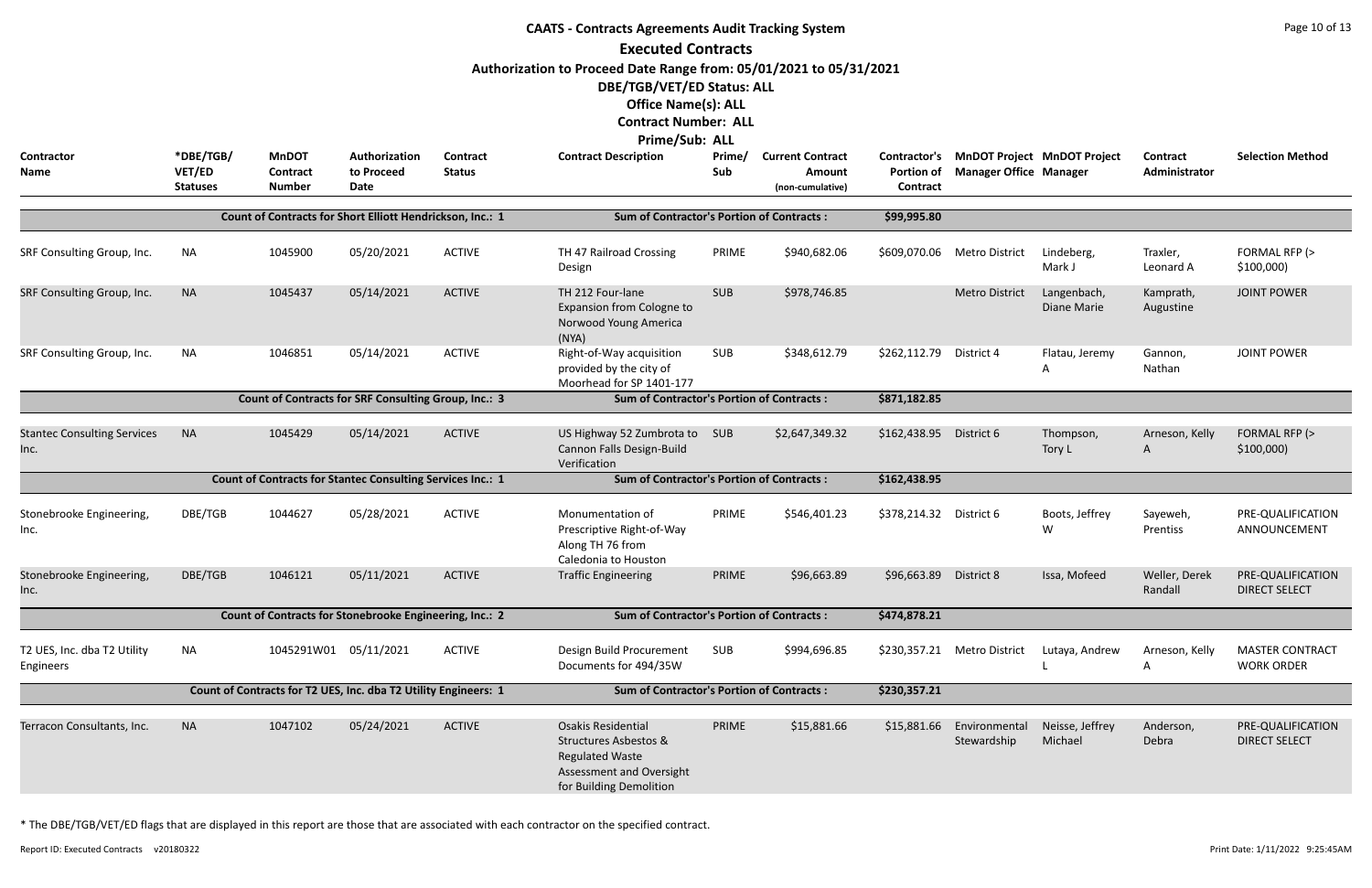| <b>CAATS - Contracts Agreements Audit Tracking System</b><br><b>Executed Contracts</b><br>Authorization to Proceed Date Range from: 05/01/2021 to 05/31/2021<br>DBE/TGB/VET/ED Status: ALL<br><b>Office Name(s): ALL</b><br><b>Contract Number: ALL</b><br><b>Prime/Sub: ALL</b> |                                        |                                                                   |                                     |                           |                                                                                                                                                |               |                                                              |                                               |                               |                                    |                           |                                             |
|----------------------------------------------------------------------------------------------------------------------------------------------------------------------------------------------------------------------------------------------------------------------------------|----------------------------------------|-------------------------------------------------------------------|-------------------------------------|---------------------------|------------------------------------------------------------------------------------------------------------------------------------------------|---------------|--------------------------------------------------------------|-----------------------------------------------|-------------------------------|------------------------------------|---------------------------|---------------------------------------------|
| Contractor<br>Name                                                                                                                                                                                                                                                               | *DBE/TGB/<br>VET/ED<br><b>Statuses</b> | <b>MnDOT</b><br><b>Contract</b><br><b>Number</b>                  | Authorization<br>to Proceed<br>Date | Contract<br><b>Status</b> | <b>Contract Description</b>                                                                                                                    | Prime/<br>Sub | <b>Current Contract</b><br><b>Amount</b><br>(non-cumulative) | Contractor's<br><b>Portion of</b><br>Contract | <b>Manager Office Manager</b> | <b>MnDOT Project MnDOT Project</b> | Contract<br>Administrator | <b>Selection Method</b>                     |
|                                                                                                                                                                                                                                                                                  |                                        | Count of Contracts for Short Elliott Hendrickson, Inc.: 1         |                                     |                           | <b>Sum of Contractor's Portion of Contracts:</b>                                                                                               |               |                                                              | \$99,995.80                                   |                               |                                    |                           |                                             |
| SRF Consulting Group, Inc.                                                                                                                                                                                                                                                       | <b>NA</b>                              | 1045900                                                           | 05/20/2021                          | <b>ACTIVE</b>             | TH 47 Railroad Crossing<br>Design                                                                                                              | PRIME         | \$940,682.06                                                 | \$609,070.06                                  | Metro District                | Lindeberg,<br>Mark J               | Traxler,<br>Leonard A     | FORMAL RFP (><br>\$100,000                  |
| SRF Consulting Group, Inc.                                                                                                                                                                                                                                                       | <b>NA</b>                              | 1045437                                                           | 05/14/2021                          | <b>ACTIVE</b>             | TH 212 Four-lane<br>Expansion from Cologne to<br>Norwood Young America<br>(NYA)                                                                | <b>SUB</b>    | \$978,746.85                                                 |                                               | <b>Metro District</b>         | Langenbach,<br>Diane Marie         | Kamprath,<br>Augustine    | <b>JOINT POWER</b>                          |
| SRF Consulting Group, Inc.                                                                                                                                                                                                                                                       | <b>NA</b>                              | 1046851                                                           | 05/14/2021                          | <b>ACTIVE</b>             | Right-of-Way acquisition<br>provided by the city of<br>Moorhead for SP 1401-177                                                                | <b>SUB</b>    | \$348,612.79                                                 | \$262,112.79                                  | District 4                    | Flatau, Jeremy<br>A                | Gannon,<br>Nathan         | <b>JOINT POWER</b>                          |
|                                                                                                                                                                                                                                                                                  |                                        | Count of Contracts for SRF Consulting Group, Inc.: 3              |                                     |                           | <b>Sum of Contractor's Portion of Contracts:</b>                                                                                               |               |                                                              | \$871,182.85                                  |                               |                                    |                           |                                             |
| <b>Stantec Consulting Services</b><br>Inc.                                                                                                                                                                                                                                       | <b>NA</b>                              | 1045429                                                           | 05/14/2021                          | <b>ACTIVE</b>             | US Highway 52 Zumbrota to<br>Cannon Falls Design-Build<br>Verification                                                                         | SUB           | \$2,647,349.32                                               | \$162,438.95 District 6                       |                               | Thompson,<br>Tory L                | Arneson, Kelly<br>A       | FORMAL RFP (><br>\$100,000                  |
|                                                                                                                                                                                                                                                                                  |                                        | <b>Count of Contracts for Stantec Consulting Services Inc.: 1</b> |                                     |                           | <b>Sum of Contractor's Portion of Contracts:</b>                                                                                               |               |                                                              | \$162,438.95                                  |                               |                                    |                           |                                             |
| Stonebrooke Engineering,<br>Inc.                                                                                                                                                                                                                                                 | DBE/TGB                                | 1044627                                                           | 05/28/2021                          | <b>ACTIVE</b>             | Monumentation of<br>Prescriptive Right-of-Way<br>Along TH 76 from<br>Caledonia to Houston                                                      | PRIME         | \$546,401.23                                                 | \$378,214.32 District 6                       |                               | Boots, Jeffrey<br>W                | Sayeweh,<br>Prentiss      | PRE-QUALIFICATION<br>ANNOUNCEMENT           |
| Stonebrooke Engineering,<br>Inc.                                                                                                                                                                                                                                                 | DBE/TGB                                | 1046121                                                           | 05/11/2021                          | <b>ACTIVE</b>             | <b>Traffic Engineering</b>                                                                                                                     | PRIME         | \$96,663.89                                                  | \$96,663.89 District 8                        |                               | Issa, Mofeed                       | Weller, Derek<br>Randall  | PRE-QUALIFICATION<br><b>DIRECT SELECT</b>   |
|                                                                                                                                                                                                                                                                                  |                                        | Count of Contracts for Stonebrooke Engineering, Inc.: 2           |                                     |                           | <b>Sum of Contractor's Portion of Contracts:</b>                                                                                               |               |                                                              | \$474,878.21                                  |                               |                                    |                           |                                             |
| T2 UES, Inc. dba T2 Utility<br>Engineers                                                                                                                                                                                                                                         | NA                                     | 1045291W01 05/11/2021                                             |                                     | <b>ACTIVE</b>             | Design Build Procurement<br>Documents for 494/35W                                                                                              | SUB           | \$994,696.85                                                 |                                               | \$230,357.21 Metro District   | Lutaya, Andrew                     | Arneson, Kelly<br>A       | <b>MASTER CONTRACT</b><br><b>WORK ORDER</b> |
|                                                                                                                                                                                                                                                                                  |                                        | Count of Contracts for T2 UES, Inc. dba T2 Utility Engineers: 1   |                                     |                           | <b>Sum of Contractor's Portion of Contracts:</b>                                                                                               |               |                                                              | \$230,357.21                                  |                               |                                    |                           |                                             |
| Terracon Consultants, Inc.                                                                                                                                                                                                                                                       | <b>NA</b>                              | 1047102                                                           | 05/24/2021                          | <b>ACTIVE</b>             | <b>Osakis Residential</b><br><b>Structures Asbestos &amp;</b><br><b>Regulated Waste</b><br>Assessment and Oversight<br>for Building Demolition | PRIME         | \$15,881.66                                                  | \$15,881.66                                   | Environmental<br>Stewardship  | Neisse, Jeffrey<br>Michael         | Anderson,<br>Debra        | PRE-QUALIFICATION<br><b>DIRECT SELECT</b>   |

Report ID: Executed Contracts v20180322 9:25:45AM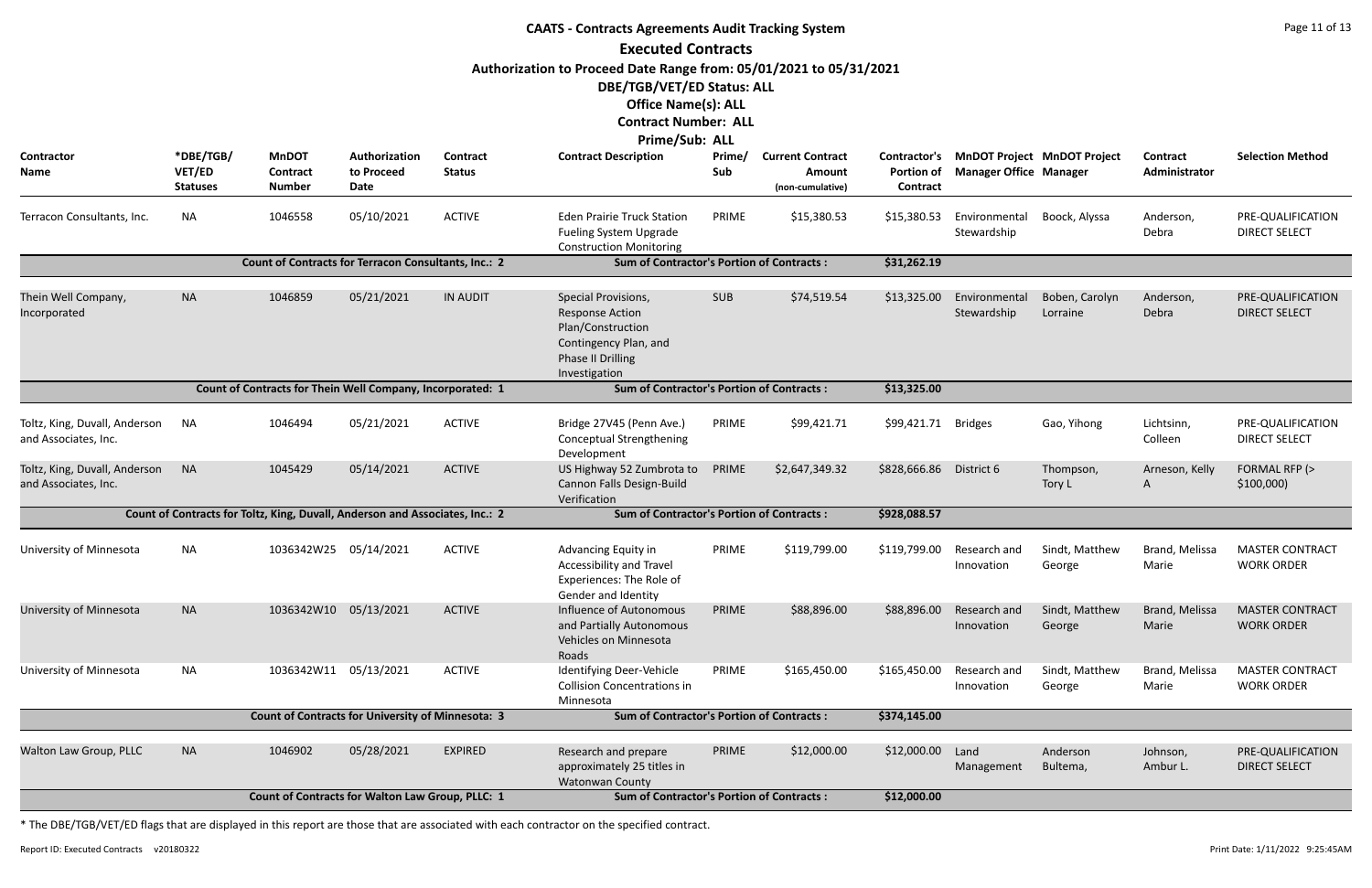| <b>CAATS - Contracts Agreements Audit Tracking System</b> |                                        |                                                                              |                                     |                           |                                                                                                                                          |               |                                                       |                                                      |                               |                                    |                                  |                                             |
|-----------------------------------------------------------|----------------------------------------|------------------------------------------------------------------------------|-------------------------------------|---------------------------|------------------------------------------------------------------------------------------------------------------------------------------|---------------|-------------------------------------------------------|------------------------------------------------------|-------------------------------|------------------------------------|----------------------------------|---------------------------------------------|
|                                                           |                                        |                                                                              |                                     |                           | <b>Executed Contracts</b>                                                                                                                |               |                                                       |                                                      |                               |                                    |                                  |                                             |
|                                                           |                                        |                                                                              |                                     |                           | Authorization to Proceed Date Range from: 05/01/2021 to 05/31/2021                                                                       |               |                                                       |                                                      |                               |                                    |                                  |                                             |
|                                                           |                                        |                                                                              |                                     |                           | DBE/TGB/VET/ED Status: ALL                                                                                                               |               |                                                       |                                                      |                               |                                    |                                  |                                             |
|                                                           |                                        |                                                                              |                                     |                           | <b>Office Name(s): ALL</b>                                                                                                               |               |                                                       |                                                      |                               |                                    |                                  |                                             |
|                                                           |                                        |                                                                              |                                     |                           | <b>Contract Number: ALL</b>                                                                                                              |               |                                                       |                                                      |                               |                                    |                                  |                                             |
|                                                           |                                        |                                                                              |                                     |                           | Prime/Sub: ALL                                                                                                                           |               |                                                       |                                                      |                               |                                    |                                  |                                             |
| Contractor<br>Name                                        | *DBE/TGB/<br>VET/ED<br><b>Statuses</b> | <b>MnDOT</b><br>Contract<br><b>Number</b>                                    | Authorization<br>to Proceed<br>Date | Contract<br><b>Status</b> | <b>Contract Description</b>                                                                                                              | Prime/<br>Sub | <b>Current Contract</b><br>Amount<br>(non-cumulative) | <b>Contractor's</b><br><b>Portion of</b><br>Contract | <b>Manager Office Manager</b> | <b>MnDOT Project MnDOT Project</b> | <b>Contract</b><br>Administrator | <b>Selection Method</b>                     |
| Terracon Consultants, Inc.                                | NA                                     | 1046558                                                                      | 05/10/2021                          | <b>ACTIVE</b>             | <b>Eden Prairie Truck Station</b><br>Fueling System Upgrade<br><b>Construction Monitoring</b>                                            | PRIME         | \$15,380.53                                           | \$15,380.53                                          | Environmental<br>Stewardship  | Boock, Alyssa                      | Anderson,<br>Debra               | PRE-QUALIFICATION<br><b>DIRECT SELECT</b>   |
|                                                           |                                        | <b>Count of Contracts for Terracon Consultants, Inc.: 2</b>                  |                                     |                           | <b>Sum of Contractor's Portion of Contracts:</b>                                                                                         |               |                                                       | \$31,262.19                                          |                               |                                    |                                  |                                             |
| Thein Well Company,<br>Incorporated                       | <b>NA</b>                              | 1046859                                                                      | 05/21/2021                          | <b>IN AUDIT</b>           | Special Provisions,<br><b>Response Action</b><br>Plan/Construction<br>Contingency Plan, and<br><b>Phase II Drilling</b><br>Investigation | <b>SUB</b>    | \$74,519.54                                           | \$13,325.00                                          | Environmental<br>Stewardship  | Boben, Carolyn<br>Lorraine         | Anderson,<br>Debra               | PRE-QUALIFICATION<br><b>DIRECT SELECT</b>   |
|                                                           |                                        | Count of Contracts for Thein Well Company, Incorporated: 1                   |                                     |                           | <b>Sum of Contractor's Portion of Contracts:</b>                                                                                         |               |                                                       | \$13,325.00                                          |                               |                                    |                                  |                                             |
| Toltz, King, Duvall, Anderson<br>and Associates, Inc.     | <b>NA</b>                              | 1046494                                                                      | 05/21/2021                          | <b>ACTIVE</b>             | Bridge 27V45 (Penn Ave.)<br><b>Conceptual Strengthening</b><br>Development                                                               | PRIME         | \$99,421.71                                           | \$99,421.71                                          | <b>Bridges</b>                | Gao, Yihong                        | Lichtsinn,<br>Colleen            | PRE-QUALIFICATION<br><b>DIRECT SELECT</b>   |
| Toltz, King, Duvall, Anderson<br>and Associates, Inc.     | <b>NA</b>                              | 1045429                                                                      | 05/14/2021                          | <b>ACTIVE</b>             | US Highway 52 Zumbrota to<br>Cannon Falls Design-Build<br>Verification                                                                   | PRIME         | \$2,647,349.32                                        | \$828,666.86                                         | District 6                    | Thompson,<br>Tory L                | Arneson, Kelly<br>A              | FORMAL RFP (><br>\$100,000                  |
|                                                           |                                        | Count of Contracts for Toltz, King, Duvall, Anderson and Associates, Inc.: 2 |                                     |                           | <b>Sum of Contractor's Portion of Contracts:</b>                                                                                         |               |                                                       | \$928,088.57                                         |                               |                                    |                                  |                                             |
| University of Minnesota                                   | <b>NA</b>                              | 1036342W25 05/14/2021                                                        |                                     | <b>ACTIVE</b>             | Advancing Equity in<br>Accessibility and Travel<br>Experiences: The Role of<br><b>Gender and Identity</b>                                | PRIME         | \$119,799.00                                          | \$119,799.00                                         | Research and<br>Innovation    | Sindt, Matthew<br>George           | Brand, Melissa<br>Marie          | <b>MASTER CONTRACT</b><br><b>WORK ORDER</b> |
| University of Minnesota                                   | <b>NA</b>                              | 1036342W10 05/13/2021                                                        |                                     | <b>ACTIVE</b>             | Influence of Autonomous<br>and Partially Autonomous<br>Vehicles on Minnesota<br>Roads                                                    | PRIME         | \$88,896.00                                           | \$88,896.00                                          | Research and<br>Innovation    | Sindt, Matthew<br>George           | Brand, Melissa<br>Marie          | <b>MASTER CONTRACT</b><br><b>WORK ORDER</b> |
| University of Minnesota                                   | <b>NA</b>                              | 1036342W11 05/13/2021                                                        |                                     | <b>ACTIVE</b>             | Identifying Deer-Vehicle<br><b>Collision Concentrations in</b><br>Minnesota                                                              | PRIME         | \$165,450.00                                          | \$165,450.00                                         | Research and<br>Innovation    | Sindt, Matthew<br>George           | Brand, Melissa<br>Marie          | <b>MASTER CONTRACT</b><br><b>WORK ORDER</b> |
|                                                           |                                        | <b>Count of Contracts for University of Minnesota: 3</b>                     |                                     |                           | <b>Sum of Contractor's Portion of Contracts:</b>                                                                                         |               |                                                       | \$374,145.00                                         |                               |                                    |                                  |                                             |
| Walton Law Group, PLLC                                    | <b>NA</b>                              | 1046902                                                                      | 05/28/2021                          | <b>EXPIRED</b>            | Research and prepare<br>approximately 25 titles in<br>Watonwan County                                                                    | PRIME         | \$12,000.00                                           | \$12,000.00                                          | Land<br>Management            | Anderson<br>Bultema,               | Johnson,<br>Ambur L.             | PRE-QUALIFICATION<br><b>DIRECT SELECT</b>   |
|                                                           |                                        | <b>Count of Contracts for Walton Law Group, PLLC: 1</b>                      |                                     |                           | <b>Sum of Contractor's Portion of Contracts:</b>                                                                                         |               |                                                       | \$12,000.00                                          |                               |                                    |                                  |                                             |
|                                                           |                                        |                                                                              |                                     |                           |                                                                                                                                          |               |                                                       |                                                      |                               |                                    |                                  |                                             |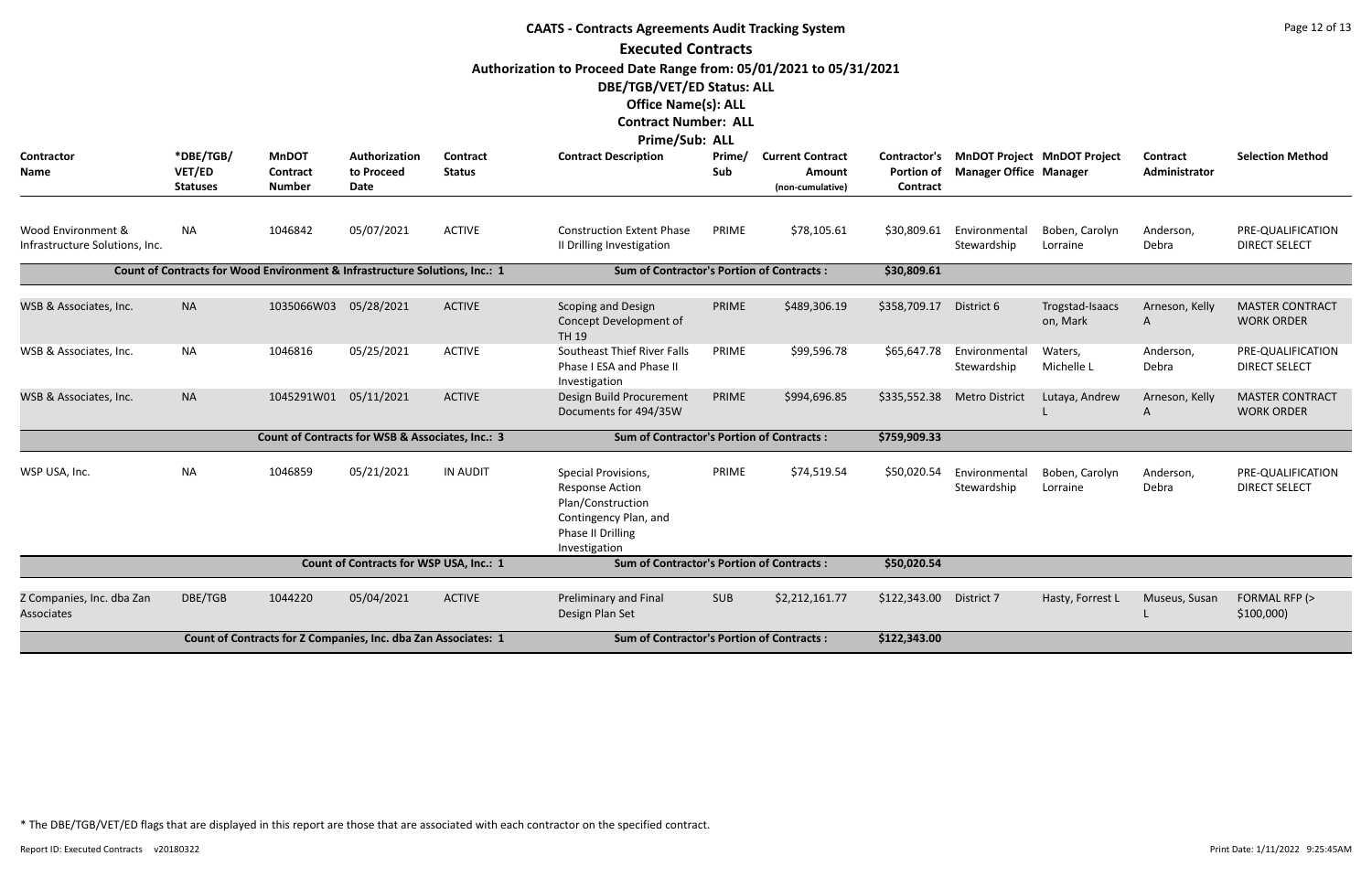| <b>CAATS - Contracts Agreements Audit Tracking System</b> |                     |                                                                             |                                                  |                                  |                                                                    |               |                                   |                                   |                               |                                    |                           |                                           |  |
|-----------------------------------------------------------|---------------------|-----------------------------------------------------------------------------|--------------------------------------------------|----------------------------------|--------------------------------------------------------------------|---------------|-----------------------------------|-----------------------------------|-------------------------------|------------------------------------|---------------------------|-------------------------------------------|--|
|                                                           |                     |                                                                             |                                                  |                                  | <b>Executed Contracts</b>                                          |               |                                   |                                   |                               |                                    |                           |                                           |  |
|                                                           |                     |                                                                             |                                                  |                                  | Authorization to Proceed Date Range from: 05/01/2021 to 05/31/2021 |               |                                   |                                   |                               |                                    |                           |                                           |  |
|                                                           |                     |                                                                             |                                                  |                                  | DBE/TGB/VET/ED Status: ALL                                         |               |                                   |                                   |                               |                                    |                           |                                           |  |
|                                                           |                     |                                                                             |                                                  |                                  | <b>Office Name(s): ALL</b>                                         |               |                                   |                                   |                               |                                    |                           |                                           |  |
|                                                           |                     |                                                                             |                                                  |                                  | <b>Contract Number: ALL</b>                                        |               |                                   |                                   |                               |                                    |                           |                                           |  |
|                                                           |                     |                                                                             |                                                  |                                  | Prime/Sub: ALL                                                     |               |                                   |                                   |                               |                                    |                           |                                           |  |
| Contractor<br>Name                                        | *DBE/TGB/<br>VET/ED | <b>MnDOT</b><br>Contract                                                    | Authorization<br>to Proceed                      | <b>Contract</b><br><b>Status</b> | <b>Contract Description</b>                                        | Prime/<br>Sub | <b>Current Contract</b><br>Amount | Contractor's<br><b>Portion of</b> | <b>Manager Office Manager</b> | <b>MnDOT Project MnDOT Project</b> | Contract<br>Administrator | <b>Selection Method</b>                   |  |
|                                                           | <b>Statuses</b>     | <b>Number</b>                                                               | Date                                             |                                  |                                                                    |               | (non-cumulative)                  | Contract                          |                               |                                    |                           |                                           |  |
|                                                           |                     |                                                                             |                                                  |                                  |                                                                    |               |                                   |                                   |                               |                                    |                           |                                           |  |
| Wood Environment &                                        | <b>NA</b>           | 1046842                                                                     | 05/07/2021                                       | <b>ACTIVE</b>                    | <b>Construction Extent Phase</b>                                   | PRIME         | \$78,105.61                       | \$30,809.61                       | Environmental                 | Boben, Carolyn                     | Anderson,                 | PRE-QUALIFICATION                         |  |
| Infrastructure Solutions, Inc.                            |                     |                                                                             |                                                  |                                  | II Drilling Investigation                                          |               |                                   |                                   | Stewardship                   | Lorraine                           | Debra                     | <b>DIRECT SELECT</b>                      |  |
|                                                           |                     | Count of Contracts for Wood Environment & Infrastructure Solutions, Inc.: 1 |                                                  |                                  | <b>Sum of Contractor's Portion of Contracts:</b>                   |               |                                   |                                   |                               |                                    |                           |                                           |  |
|                                                           |                     |                                                                             |                                                  |                                  |                                                                    |               |                                   | \$30,809.61                       |                               |                                    |                           |                                           |  |
| WSB & Associates, Inc.                                    | <b>NA</b>           | 1035066W03                                                                  | 05/28/2021                                       | <b>ACTIVE</b>                    | Scoping and Design                                                 | PRIME         | \$489,306.19                      | \$358,709.17                      | District 6                    | Trogstad-Isaacs                    | Arneson, Kelly            | <b>MASTER CONTRACT</b>                    |  |
|                                                           |                     |                                                                             |                                                  |                                  | Concept Development of                                             |               |                                   |                                   |                               | on, Mark                           | A                         | <b>WORK ORDER</b>                         |  |
|                                                           |                     |                                                                             |                                                  |                                  | <b>TH 19</b>                                                       |               |                                   |                                   |                               |                                    |                           |                                           |  |
| WSB & Associates, Inc.                                    | <b>NA</b>           | 1046816                                                                     | 05/25/2021                                       | <b>ACTIVE</b>                    | Southeast Thief River Falls<br>Phase I ESA and Phase II            | PRIME         | \$99,596.78                       | \$65,647.78                       | Environmental                 | Waters,<br>Michelle L              | Anderson,<br>Debra        | PRE-QUALIFICATION<br><b>DIRECT SELECT</b> |  |
|                                                           |                     |                                                                             |                                                  |                                  | Investigation                                                      |               |                                   |                                   | Stewardship                   |                                    |                           |                                           |  |
| WSB & Associates, Inc.                                    | <b>NA</b>           | 1045291W01                                                                  | 05/11/2021                                       | <b>ACTIVE</b>                    | Design Build Procurement                                           | PRIME         | \$994,696.85                      | \$335,552.38                      | <b>Metro District</b>         | Lutaya, Andrew                     | Arneson, Kelly            | <b>MASTER CONTRACT</b>                    |  |
|                                                           |                     |                                                                             |                                                  |                                  | Documents for 494/35W                                              |               |                                   |                                   |                               |                                    | A                         | <b>WORK ORDER</b>                         |  |
|                                                           |                     |                                                                             | Count of Contracts for WSB & Associates, Inc.: 3 |                                  | <b>Sum of Contractor's Portion of Contracts:</b>                   |               |                                   | \$759,909.33                      |                               |                                    |                           |                                           |  |
|                                                           |                     |                                                                             |                                                  |                                  |                                                                    |               |                                   |                                   |                               |                                    |                           |                                           |  |
| WSP USA, Inc.                                             | <b>NA</b>           | 1046859                                                                     | 05/21/2021                                       | <b>IN AUDIT</b>                  | Special Provisions,<br><b>Response Action</b>                      | PRIME         | \$74,519.54                       | \$50,020.54                       | Environmental<br>Stewardship  | Boben, Carolyn<br>Lorraine         | Anderson,<br>Debra        | PRE-QUALIFICATION<br><b>DIRECT SELECT</b> |  |
|                                                           |                     |                                                                             |                                                  |                                  | Plan/Construction                                                  |               |                                   |                                   |                               |                                    |                           |                                           |  |
|                                                           |                     |                                                                             |                                                  |                                  | Contingency Plan, and                                              |               |                                   |                                   |                               |                                    |                           |                                           |  |
|                                                           |                     |                                                                             |                                                  |                                  | <b>Phase II Drilling</b>                                           |               |                                   |                                   |                               |                                    |                           |                                           |  |
|                                                           |                     |                                                                             |                                                  |                                  | Investigation                                                      |               |                                   |                                   |                               |                                    |                           |                                           |  |
|                                                           |                     |                                                                             | Count of Contracts for WSP USA, Inc.: 1          |                                  | <b>Sum of Contractor's Portion of Contracts:</b>                   |               |                                   | \$50,020.54                       |                               |                                    |                           |                                           |  |
| Z Companies, Inc. dba Zan                                 | DBE/TGB             | 1044220                                                                     | 05/04/2021                                       | <b>ACTIVE</b>                    | Preliminary and Final                                              | <b>SUB</b>    | \$2,212,161.77                    | \$122,343.00                      | District 7                    | Hasty, Forrest L                   | Museus, Susan             | FORMAL RFP (>                             |  |
| Associates                                                |                     |                                                                             |                                                  |                                  | Design Plan Set                                                    |               |                                   |                                   |                               |                                    |                           | \$100,000                                 |  |
|                                                           |                     | Count of Contracts for Z Companies, Inc. dba Zan Associates: 1              |                                                  |                                  | <b>Sum of Contractor's Portion of Contracts:</b>                   |               |                                   | \$122,343.00                      |                               |                                    |                           |                                           |  |
|                                                           |                     |                                                                             |                                                  |                                  |                                                                    |               |                                   |                                   |                               |                                    |                           |                                           |  |